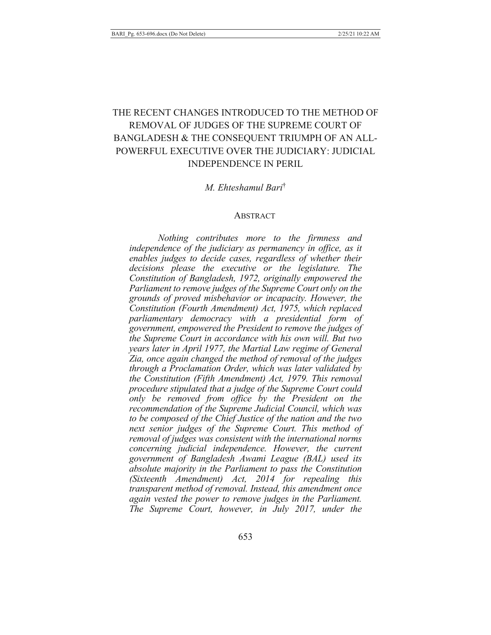# THE RECENT CHANGES INTRODUCED TO THE METHOD OF REMOVAL OF JUDGES OF THE SUPREME COURT OF BANGLADESH & THE CONSEQUENT TRIUMPH OF AN ALL-POWERFUL EXECUTIVE OVER THE JUDICIARY: JUDICIAL **INDEPENDENCE IN PERIL.**

#### *M. Ehteshamul Bari<sup>†</sup>*

#### ABSTRACT

*Nothing contributes more to the firmness and* independence of the judiciary as permanency in office, as it enables judges to decide cases, regardless of whether their decisions please the executive or the legislature. The Constitution of Bangladesh, 1972, originally empowered the *Parliament to remove judges of the Supreme Court only on the* grounds of proved misbehavior or incapacity. However, the Constitution (Fourth Amendment) Act, 1975, which replaced parliamentary democracy with a presidential form of government, empowered the President to remove the judges of *fhe Supreme Court in accordance with his own will. But two* years later in April 1977, the Martial Law regime of General *Zia, once again changed the method of removal of the judges through a Proclamation Order, which was later validated by* the Constitution (Fifth Amendment) Act, 1979. This removal *procedure stipulated that a judge of the Supreme Court could*  $20$ <sub>*2</sub> be removed from office by the President on the*</sub> recommendation of the Supreme Judicial Council, which was *to be composed of the Chief Justice of the nation and the two next senior judges of the Supreme Court. This method of f* removal of judges was consistent with the international norms *concerning judicial independence. However, the current* government of Bangladesh Awami League (BAL) used its absolute majority in the Parliament to pass the Constitution *(Sixteenth Amendment) Act, 2014 for repealing this fransparent method of removal. Instead, this amendment once* again vested the power to remove judges in the Parliament. *The Supreme Court, however, in July 2017, under the*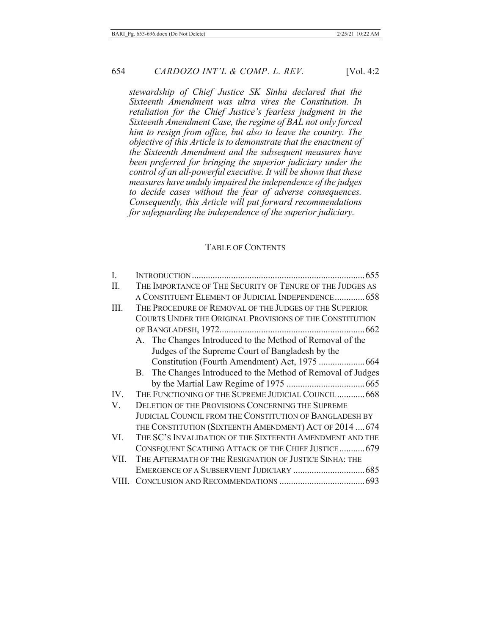stewardship of Chief Justice SK Sinha declared that the Sixteenth Amendment was ultra vires the Constitution. In retaliation for the Chief Justice's fearless judgment in the Sixteenth Amendment Case, the regime of BAL not only forced him to resign from office, but also to leave the country. The objective of this Article is to demonstrate that the enactment of the Sixteenth Amendment and the subsequent measures have been preferred for bringing the superior judiciary under the control of an all-powerful executive. It will be shown that these measures have unduly impaired the independence of the judges to decide cases without the fear of adverse consequences. Consequently, this Article will put forward recommendations for safeguarding the independence of the superior judiciary.

#### **TABLE OF CONTENTS**

| I.    |                                                                |
|-------|----------------------------------------------------------------|
| II.   | THE IMPORTANCE OF THE SECURITY OF TENURE OF THE JUDGES AS      |
|       | A CONSTITUENT ELEMENT OF JUDICIAL INDEPENDENCE 658             |
| Ш.    | THE PROCEDURE OF REMOVAL OF THE JUDGES OF THE SUPERIOR         |
|       | COURTS UNDER THE ORIGINAL PROVISIONS OF THE CONSTITUTION       |
|       |                                                                |
|       | A. The Changes Introduced to the Method of Removal of the      |
|       | Judges of the Supreme Court of Bangladesh by the               |
|       |                                                                |
|       | B. The Changes Introduced to the Method of Removal of Judges   |
|       |                                                                |
| IV.   | THE FUNCTIONING OF THE SUPREME JUDICIAL COUNCIL 668            |
| V.    | <b>DELETION OF THE PROVISIONS CONCERNING THE SUPREME</b>       |
|       | <b>JUDICIAL COUNCIL FROM THE CONSTITUTION OF BANGLADESH BY</b> |
|       | THE CONSTITUTION (SIXTEENTH AMENDMENT) ACT OF 2014  674        |
| VI.   | THE SC'S INVALIDATION OF THE SIXTEENTH AMENDMENT AND THE       |
|       | CONSEQUENT SCATHING ATTACK OF THE CHIEF JUSTICE 679            |
| VII.  | THE AFTERMATH OF THE RESIGNATION OF JUSTICE SINHA: THE         |
|       |                                                                |
| VIII. |                                                                |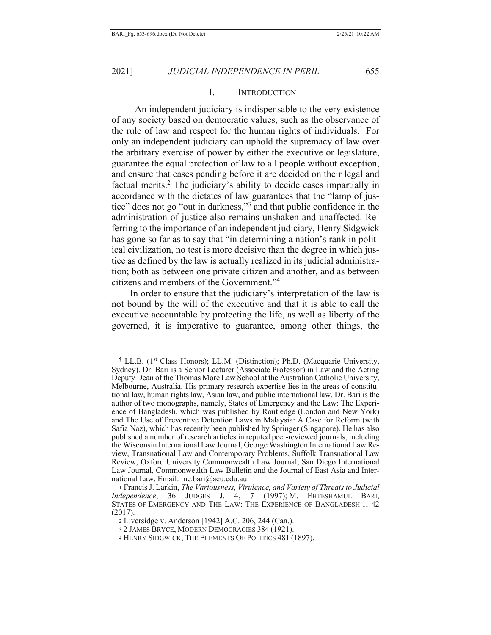#### I. INTRODUCTION

An independent judiciary is indispensable to the very existence of any society based on democratic values, such as the observance of the rule of law and respect for the human rights of individuals.<sup>1</sup> For only an independent judiciary can uphold the supremacy of law over the arbitrary exercise of power by either the executive or legislature, guarantee the equal protection of law to all people without exception, and ensure that cases pending before it are decided on their legal and factual merits.<sup>2</sup> The judiciary's ability to decide cases impartially in accordance with the dictates of law guarantees that the "lamp of justice" does not go "out in darkness,"<sup>3</sup> and that public confidence in the administration of justice also remains unshaken and unaffected. Referring to the importance of an independent judiciary, Henry Sidgwick has gone so far as to say that "in determining a nation's rank in political civilization, no test is more decisive than the degree in which justice as defined by the law is actually realized in its judicial administration; both as between one private citizen and another, and as between citizens and members of the Government."<sup>4</sup>

In order to ensure that the judiciary's interpretation of the law is not bound by the will of the executive and that it is able to call the executive accountable by protecting the life, as well as liberty of the governed, it is imperative to guarantee, among other things, the

<sup>&</sup>lt;sup>†</sup> LL.B. (1<sup>st</sup> Class Honors); LL.M. (Distinction); Ph.D. (Macquarie University, Sydney). Dr. Bari is a Senior Lecturer (Associate Professor) in Law and the Acting Deputy Dean of the Thomas More Law School at the Australian Catholic University, Melbourne, Australia. His primary research expertise lies in the areas of constitutional law, human rights law, Asian law, and public international law. Dr. Bari is the author of two monographs, namely, States of Emergency and the Law: The Experience of Bangladesh, which was published by Routledge (London and New York) and The Use of Preventive Detention Laws in Malaysia: A Case for Reform (with Safia Naz), which has recently been published by Springer (Singapore). He has also published a number of research articles in reputed peer-reviewed journals, including the Wisconsin International Law Journal, George Washington International Law Review, Transnational Law and Contemporary Problems, Suffolk Transnational Law Review, Oxford University Commonwealth Law Journal, San Diego International Law Journal, Commonwealth Law Bulletin and the Journal of East Asia and International Law. Email: me.bari@acu.edu.au.

<sup>1</sup> Francis J. Larkin, The Variousness, Virulence, and Variety of Threats to Judicial Independence, 36 JUDGES J. 4, 7 (1997); M. EHTESHAMUL BARI, STATES OF EMERGENCY AND THE LAW: THE EXPERIENCE OF BANGLADESH 1, 42  $(2017).$ 

<sup>2</sup> Liversidge v. Anderson [1942] A.C. 206, 244 (Can.).

<sup>3 2</sup> JAMES BRYCE, MODERN DEMOCRACIES 384 (1921).

<sup>&</sup>lt;sup>4</sup> HENRY SIDGWICK, THE ELEMENTS OF POLITICS 481 (1897).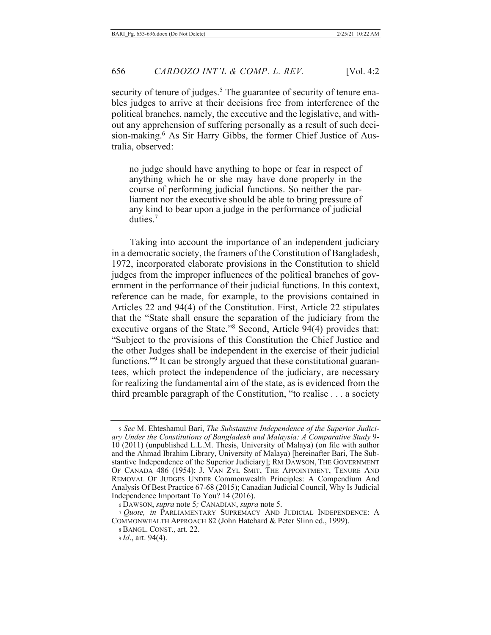security of tenure of judges.<sup>5</sup> The guarantee of security of tenure enables judges to arrive at their decisions free from interference of the political branches, namely, the executive and the legislative, and without any apprehension of suffering personally as a result of such decision-making.<sup>6</sup> As Sir Harry Gibbs, the former Chief Justice of Australia, observed:

no judge should have anything to hope or fear in respect of anything which he or she may have done properly in the course of performing judicial functions. So neither the parliament nor the executive should be able to bring pressure of any kind to bear upon a judge in the performance of judicial duties. $7$ 

Taking into account the importance of an independent judiciary in a democratic society, the framers of the Constitution of Bangladesh, 1972, incorporated elaborate provisions in the Constitution to shield judges from the improper influences of the political branches of government in the performance of their judicial functions. In this context, reference can be made, for example, to the provisions contained in Articles 22 and 94(4) of the Constitution. First, Article 22 stipulates that the "State shall ensure the separation of the judiciary from the executive organs of the State."<sup>8</sup> Second, Article  $94(4)$  provides that: "Subject to the provisions of this Constitution the Chief Justice and the other Judges shall be independent in the exercise of their judicial functions."<sup>9</sup> It can be strongly argued that these constitutional guarantees, which protect the independence of the judiciary, are necessary for realizing the fundamental aim of the state, as is evidenced from the third preamble paragraph of the Constitution, "to realise  $\dots$  a society

 $\frac{1}{2}$  *See* M. Ehteshamul Bari, *The Substantive Independence of the Superior Judici*ary Under the Constitutions of Bangladesh and Malaysia: A Comparative Study 9-10 (2011) (unpublished L.L.M. Thesis, University of Malaya) (on file with author and the Ahmad Ibrahim Library, University of Malaya) [hereinafter Bari, The Substantive Independence of the Superior Judiciary]; RM DAWSON, THE GOVERNMENT OF CANADA 486 (1954); J. VAN ZYL SMIT, THE APPOINTMENT, TENURE AND REMOVAL OF JUDGES UNDER Commonwealth Principles: A Compendium And Analysis Of Best Practice 67-68 (2015); Canadian Judicial Council, Why Is Judicial Independence Important To You? 14 (2016).

 $6$  DAWSON, *supra* note 5; CANADIAN, *supra* note 5.

<sup>7</sup> Quote, in PARLIAMENTARY SUPREMACY AND JUDICIAL INDEPENDENCE: A COMMONWEALTH APPROACH 82 (John Hatchard & Peter Slinn ed., 1999).

<sup>8</sup> BANGL. CONST., art. 22.

*<sup>(</sup>a)*, art. 94(4).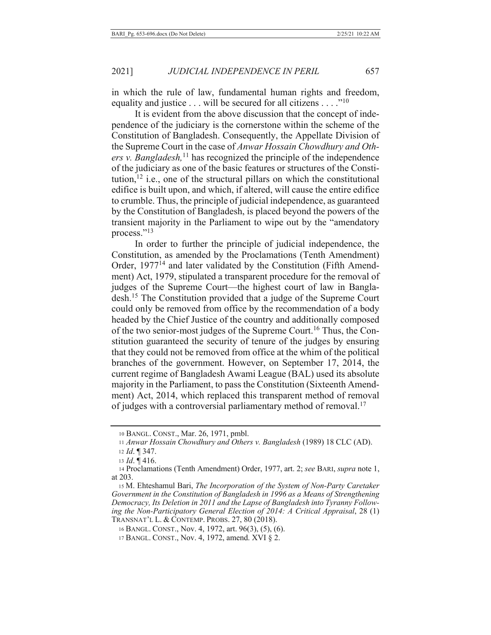in which the rule of law, fundamental human rights and freedom, equality and justice . . . will be secured for all citizens . . . . "<sup>10</sup>

It is evident from the above discussion that the concept of independence of the judiciary is the cornerstone within the scheme of the Constitution of Bangladesh. Consequently, the Appellate Division of the Supreme Court in the case of Anwar Hossain Chowdhury and Others v. Bangladesh,  $^{11}$  has recognized the principle of the independence of the judiciary as one of the basic features or structures of the Constitution,  $^{12}$  i.e., one of the structural pillars on which the constitutional edifice is built upon, and which, if altered, will cause the entire edifice to crumble. Thus, the principle of judicial independence, as guaranteed by the Constitution of Bangladesh, is placed beyond the powers of the transient majority in the Parliament to wipe out by the "amendatory" process."13

In order to further the principle of judicial independence, the Constitution, as amended by the Proclamations (Tenth Amendment) Order, 1977<sup>14</sup> and later validated by the Constitution (Fifth Amendment) Act, 1979, stipulated a transparent procedure for the removal of judges of the Supreme Court—the highest court of law in Bangladesh.<sup>15</sup> The Constitution provided that a judge of the Supreme Court could only be removed from office by the recommendation of a body headed by the Chief Justice of the country and additionally composed of the two senior-most judges of the Supreme Court.<sup>16</sup> Thus, the Constitution guaranteed the security of tenure of the judges by ensuring that they could not be removed from office at the whim of the political branches of the government. However, on September 17, 2014, the current regime of Bangladesh Awami League (BAL) used its absolute majority in the Parliament, to pass the Constitution (Sixteenth Amendment) Act, 2014, which replaced this transparent method of removal of judges with a controversial parliamentary method of removal.<sup>17</sup>

<sup>10</sup> BANGL. CONST., Mar. 26, 1971, pmbl.

<sup>11</sup> Anwar Hossain Chowdhury and Others v. Bangladesh (1989) 18 CLC (AD).

<sup>12</sup> *Id.*  $\P$  347.

<sup>13</sup> *Id.*  $\P$  416.

<sup>14</sup> Proclamations (Tenth Amendment) Order, 1977, art. 2; see BARI, supra note 1, at 203.

<sup>15</sup> M. Ehteshamul Bari, The Incorporation of the System of Non-Party Caretaker Government in the Constitution of Bangladesh in 1996 as a Means of Strengthening Democracy, Its Deletion in 2011 and the Lapse of Bangladesh into Tyranny Following the Non-Participatory General Election of 2014: A Critical Appraisal, 28 (1) TRANSNAT'L L. & CONTEMP. PROBS. 27, 80 (2018).

<sup>16</sup> BANGL. CONST., Nov. 4, 1972, art. 96(3), (5), (6).

<sup>17</sup> BANGL. CONST., Nov. 4, 1972, amend. XVI § 2.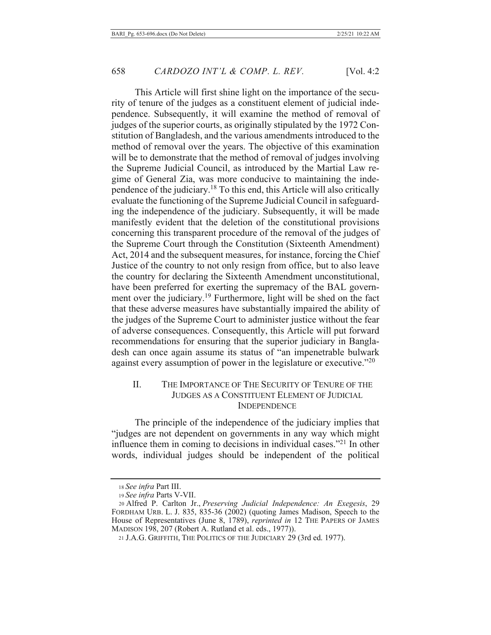This Article will first shine light on the importance of the security of tenure of the judges as a constituent element of judicial independence. Subsequently, it will examine the method of removal of judges of the superior courts, as originally stipulated by the 1972 Constitution of Bangladesh, and the various amendments introduced to the method of removal over the years. The objective of this examination will be to demonstrate that the method of removal of judges involving the Supreme Judicial Council, as introduced by the Martial Law regime of General Zia, was more conducive to maintaining the independence of the judiciary.<sup>18</sup> To this end, this Article will also critically evaluate the functioning of the Supreme Judicial Council in safeguarding the independence of the judiciary. Subsequently, it will be made manifestly evident that the deletion of the constitutional provisions concerning this transparent procedure of the removal of the judges of the Supreme Court through the Constitution (Sixteenth Amendment) Act, 2014 and the subsequent measures, for instance, forcing the Chief Justice of the country to not only resign from office, but to also leave the country for declaring the Sixteenth Amendment unconstitutional, have been preferred for exerting the supremacy of the BAL government over the judiciary.<sup>19</sup> Furthermore, light will be shed on the fact that these adverse measures have substantially impaired the ability of the judges of the Supreme Court to administer justice without the fear of adverse consequences. Consequently, this Article will put forward recommendations for ensuring that the superior judiciary in Bangladesh can once again assume its status of "an impenetrable bulwark against every assumption of power in the legislature or executive." $^{20}$ 

#### II. THE IMPORTANCE OF THE SECURITY OF TENURE OF THE JUDGES AS A CONSTITUENT ELEMENT OF JUDICIAL **INDEPENDENCE**

The principle of the independence of the judiciary implies that "judges are not dependent on governments in any way which might influence them in coming to decisions in individual cases."<sup>21</sup> In other words, individual judges should be independent of the political

<sup>18</sup> See infra Part III.

<sup>19</sup> See infra Parts V-VII.

<sup>20</sup> Alfred P. Carlton Jr., Preserving Judicial Independence: An Exegesis, 29 FORDHAM URB. L. J. 835, 835-36 (2002) (quoting James Madison, Speech to the House of Representatives (June 8, 1789), *reprinted in* 12 THE PAPERS OF JAMES MADISON 198, 207 (Robert A. Rutland et al. eds., 1977)).

<sup>21</sup> J.A.G. GRIFFITH, THE POLITICS OF THE JUDICIARY 29 (3rd ed. 1977).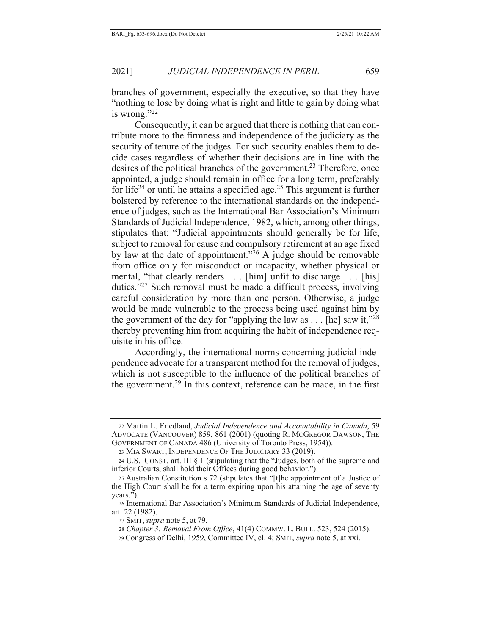branches of government, especially the executive, so that they have "nothing to lose by doing what is right and little to gain by doing what is wrong." $22$ 

Consequently, it can be argued that there is nothing that can contribute more to the firmness and independence of the judiciary as the security of tenure of the judges. For such security enables them to decide cases regardless of whether their decisions are in line with the desires of the political branches of the government.<sup>23</sup> Therefore, once appointed, a judge should remain in office for a long term, preferably for life<sup>24</sup> or until he attains a specified age.<sup>25</sup> This argument is further bolstered by reference to the international standards on the independence of judges, such as the International Bar Association's Minimum Standards of Judicial Independence, 1982, which, among other things, stipulates that: "Judicial appointments should generally be for life, subject to removal for cause and compulsory retirement at an age fixed by law at the date of appointment."<sup>26</sup> A judge should be removable from office only for misconduct or incapacity, whether physical or mental, "that clearly renders . . . [him] unfit to discharge . . . [his] duties."<sup>27</sup> Such removal must be made a difficult process, involving careful consideration by more than one person. Otherwise, a judge would be made vulnerable to the process being used against him by the government of the day for "applying the law as . . . [he] saw it,"<sup>28</sup> thereby preventing him from acquiring the habit of independence requisite in his office.

Accordingly, the international norms concerning judicial independence advocate for a transparent method for the removal of judges, which is not susceptible to the influence of the political branches of the government.<sup>29</sup> In this context, reference can be made, in the first

<sup>22</sup> Martin L. Friedland, Judicial Independence and Accountability in Canada, 59 ADVOCATE (VANCOUVER) 859, 861 (2001) (quoting R. MCGREGOR DAWSON, THE GOVERNMENT OF CANADA 486 (University of Toronto Press, 1954)).

<sup>23</sup> MIA SWART, INDEPENDENCE OF THE JUDICIARY 33 (2019).

<sup>24</sup> U.S. CONST. art. III § 1 (stipulating that the "Judges, both of the supreme and inferior Courts, shall hold their Offices during good behavior.").

<sup>25</sup> Australian Constitution s 72 (stipulates that "[t]he appointment of a Justice of the High Court shall be for a term expiring upon his attaining the age of seventy  $years.''.$ 

<sup>26</sup> International Bar Association's Minimum Standards of Judicial Independence, art. 22 (1982).

<sup>27</sup> SMIT, *supra* note 5, at 79.

<sup>28</sup> Chapter 3: Removal From Office, 41(4) COMMW. L. BULL. 523, 524 (2015).

<sup>29</sup> Congress of Delhi, 1959, Committee IV, cl. 4; SMIT, *supra* note 5, at xxi.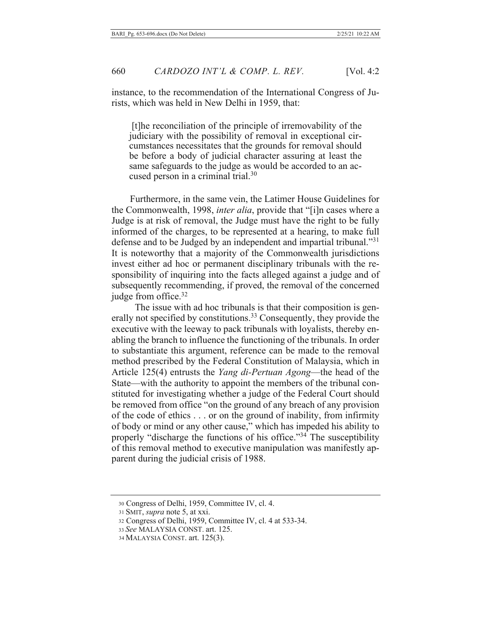instance, to the recommendation of the International Congress of Jurists, which was held in New Delhi in 1959, that:

[t] he reconciliation of the principle of irremovability of the judiciary with the possibility of removal in exceptional circumstances necessitates that the grounds for removal should be before a body of judicial character assuring at least the same safeguards to the judge as would be accorded to an accused person in a criminal trial.<sup>30</sup>

Furthermore, in the same vein, the Latimer House Guidelines for the Commonwealth, 1998, *inter alia*, provide that "[i]n cases where a Judge is at risk of removal, the Judge must have the right to be fully informed of the charges, to be represented at a hearing, to make full defense and to be Judged by an independent and impartial tribunal."31 It is noteworthy that a majority of the Commonwealth jurisdictions invest either ad hoc or permanent disciplinary tribunals with the responsibility of inquiring into the facts alleged against a judge and of subsequently recommending, if proved, the removal of the concerned judge from office.<sup>32</sup>

The issue with ad hoc tribunals is that their composition is generally not specified by constitutions.<sup>33</sup> Consequently, they provide the executive with the leeway to pack tribunals with loyalists, thereby enabling the branch to influence the functioning of the tribunals. In order to substantiate this argument, reference can be made to the removal method prescribed by the Federal Constitution of Malaysia, which in Article 125(4) entrusts the Yang di-Pertuan Agong—the head of the State—with the authority to appoint the members of the tribunal constituted for investigating whether a judge of the Federal Court should be removed from office "on the ground of any breach of any provision of the code of ethics . . . or on the ground of inability, from infirmity of body or mind or any other cause," which has impeded his ability to properly "discharge the functions of his office."<sup>34</sup> The susceptibility of this removal method to executive manipulation was manifestly apparent during the judicial crisis of 1988.

<sup>30</sup> Congress of Delhi, 1959, Committee IV, cl. 4.

<sup>31</sup> SMIT, supra note 5, at xxi.

<sup>32</sup> Congress of Delhi, 1959, Committee IV, cl. 4 at 533-34.

<sup>33</sup> See MALAYSIA CONST. art. 125.

<sup>34</sup> MALAYSIA CONST. art. 125(3).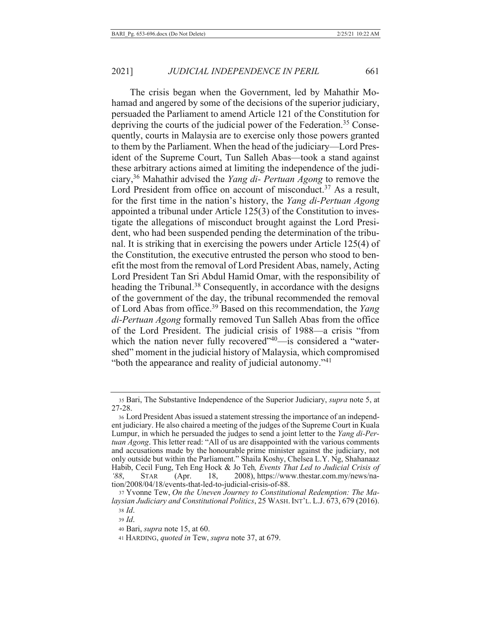The crisis began when the Government, led by Mahathir Mohamad and angered by some of the decisions of the superior judiciary, persuaded the Parliament to amend Article 121 of the Constitution for depriving the courts of the judicial power of the Federation.<sup>35</sup> Consequently, courts in Malaysia are to exercise only those powers granted to them by the Parliament. When the head of the judiciary—Lord President of the Supreme Court, Tun Salleh Abas—took a stand against these arbitrary actions aimed at limiting the independence of the judiciary,<sup>36</sup> Mahathir advised the Yang di- Pertuan Agong to remove the Lord President from office on account of misconduct.<sup>37</sup> As a result, for the first time in the nation's history, the Yang di-Pertuan Agong appointed a tribunal under Article  $125(3)$  of the Constitution to investigate the allegations of misconduct brought against the Lord President, who had been suspended pending the determination of the tribunal. It is striking that in exercising the powers under Article 125(4) of the Constitution, the executive entrusted the person who stood to benefit the most from the removal of Lord President Abas, namely, Acting Lord President Tan Sri Abdul Hamid Omar, with the responsibility of heading the Tribunal.<sup>38</sup> Consequently, in accordance with the designs of the government of the day, the tribunal recommended the removal of Lord Abas from office.<sup>39</sup> Based on this recommendation, the Yang di-Pertuan Agong formally removed Tun Salleh Abas from the office of the Lord President. The judicial crisis of 1988—a crisis "from which the nation never fully recovered"<sup>40</sup>—is considered a "watershed" moment in the judicial history of Malaysia, which compromised "both the appearance and reality of judicial autonomy."<sup>41</sup>

<sup>35</sup> Bari, The Substantive Independence of the Superior Judiciary, *supra* note 5, at 27-28.

<sup>36</sup> Lord President Abas issued a statement stressing the importance of an independent judiciary. He also chaired a meeting of the judges of the Supreme Court in Kuala Lumpur, in which he persuaded the judges to send a joint letter to the *Yang di-Pertuan Agong*. This letter read: "All of us are disappointed with the various comments and accusations made by the honourable prime minister against the judiciary, not and accounts the constraints of the contract of prime that the egalists are gained by an only outside but within the Parliament." Shaila Koshy, Chelsea L.Y. Ng, Shahanaaz Habib, Cecil Fung, Teh Eng Hock & Jo Teh, *Events That Led to Judicial Crisis of C*<sup>88</sup>, STAR (Apr. 18, 2008), https://www.thestar.com.my/news/nation/2008/04/18/events-that-led-to-judicial-crisis-of-88.

<sup>37</sup> Yvonne Tew, On the Uneven Journey to Constitutional Redemption: The Malaysian Judiciary and Constitutional Politics, 25 WASH. INT'L. L.J. 673, 679 (2016). 38 *Id.* 

<sup>39</sup> *Id.* 

<sup>40</sup> Bari, *supra* note 15, at 60.

<sup>41</sup> HARDING, *quoted in* Tew, *supra* note 37, at 679.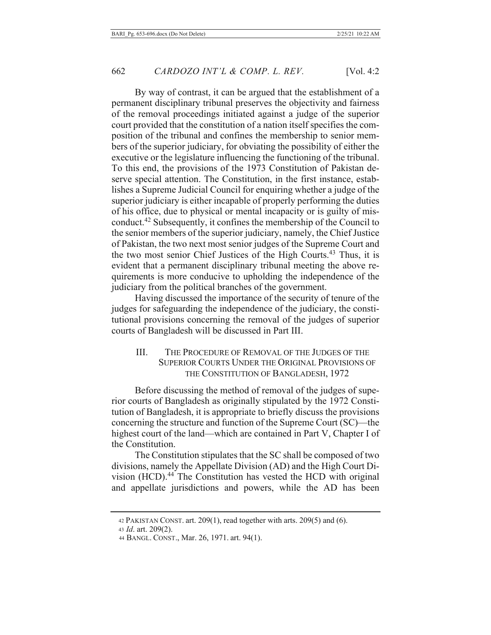By way of contrast, it can be argued that the establishment of a permanent disciplinary tribunal preserves the objectivity and fairness of the removal proceedings initiated against a judge of the superior court provided that the constitution of a nation itself specifies the composition of the tribunal and confines the membership to senior members of the superior judiciary, for obviating the possibility of either the executive or the legislature influencing the functioning of the tribunal. To this end, the provisions of the 1973 Constitution of Pakistan deserve special attention. The Constitution, in the first instance, establishes a Supreme Judicial Council for enquiring whether a judge of the superior judiciary is either incapable of properly performing the duties of his office, due to physical or mental incapacity or is guilty of misconduct.<sup>42</sup> Subsequently, it confines the membership of the Council to the senior members of the superior judiciary, namely, the Chief Justice of Pakistan, the two next most senior judges of the Supreme Court and the two most senior Chief Justices of the High Courts.<sup>43</sup> Thus, it is evident that a permanent disciplinary tribunal meeting the above requirements is more conducive to upholding the independence of the judiciary from the political branches of the government.

Having discussed the importance of the security of tenure of the judges for safeguarding the independence of the judiciary, the constitutional provisions concerning the removal of the judges of superior courts of Bangladesh will be discussed in Part III.

## III. THE PROCEDURE OF REMOVAL OF THE JUDGES OF THE SUPERIOR COURTS UNDER THE ORIGINAL PROVISIONS OF THE CONSTITUTION OF BANGLADESH, 1972

Before discussing the method of removal of the judges of superior courts of Bangladesh as originally stipulated by the 1972 Constitution of Bangladesh, it is appropriate to briefly discuss the provisions concerning the structure and function of the Supreme Court  $SC$ —the highest court of the land—which are contained in Part V, Chapter I of the Constitution.

The Constitution stipulates that the SC shall be composed of two divisions, namely the Appellate Division (AD) and the High Court Division (HCD).<sup>44</sup> The Constitution has vested the HCD with original and appellate jurisdictions and powers, while the AD has been

 $42$  PAKISTAN CONST. art. 209(1), read together with arts. 209(5) and (6).

<sup>43</sup> *Id.* art. 209(2).

<sup>44</sup> BANGL. CONST., Mar. 26, 1971. art. 94(1).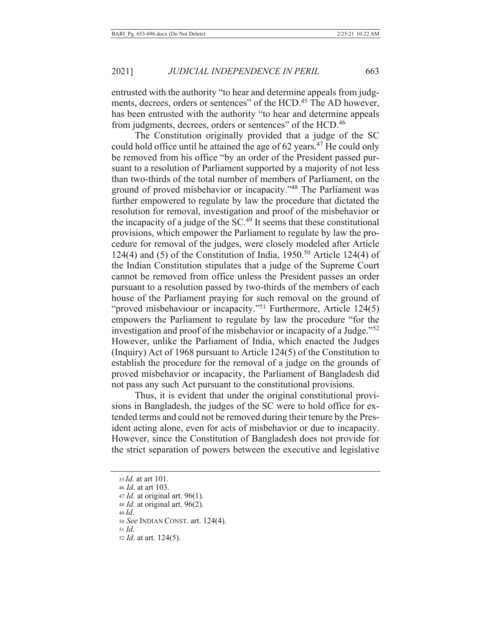entrusted with the authority "to hear and determine appeals from judgments, decrees, orders or sentences" of the HCD.<sup>45</sup> The AD however, has been entrusted with the authority "to hear and determine appeals from judgments, decrees, orders or sentences" of the HCD.<sup>46</sup>

The Constitution originally provided that a judge of the SC could hold office until he attained the age of 62 years.<sup>47</sup> He could only be removed from his office "by an order of the President passed pursuant to a resolution of Parliament supported by a majority of not less than two-thirds of the total number of members of Parliament, on the ground of proved misbehavior or incapacity."<sup>48</sup> The Parliament was further empowered to regulate by law the procedure that dictated the resolution for removal, investigation and proof of the misbehavior or the incapacity of a judge of the  $SC<sup>49</sup>$  It seems that these constitutional provisions, which empower the Parliament to regulate by law the procedure for removal of the judges, were closely modeled after Article 124(4) and (5) of the Constitution of India,  $1950<sup>50</sup>$  Article 124(4) of the Indian Constitution stipulates that a judge of the Supreme Court cannot be removed from office unless the President passes an order pursuant to a resolution passed by two-thirds of the members of each house of the Parliament praying for such removal on the ground of "proved misbehaviour or incapacity."<sup>51</sup> Furthermore, Article  $124(5)$ empowers the Parliament to regulate by law the procedure "for the investigation and proof of the misbehavior or incapacity of a Judge.<sup> $32$ </sup> However, unlike the Parliament of India, which enacted the Judges (Inquiry) Act of 1968 pursuant to Article  $124(5)$  of the Constitution to establish the procedure for the removal of a judge on the grounds of proved misbehavior or incapacity, the Parliament of Bangladesh did not pass any such Act pursuant to the constitutional provisions.

Thus, it is evident that under the original constitutional provisions in Bangladesh, the judges of the SC were to hold office for extended terms and could not be removed during their tenure by the President acting alone, even for acts of misbehavior or due to incapacity. However, since the Constitution of Bangladesh does not provide for the strict separation of powers between the executive and legislative

<sup>35</sup> *Id.* at art 101. 46 *Id.* at art 103.  $47$  *Id.* at original art. 96(1). 48 *Id.* at original art. 96(2).  $49$  *Id.* 50 See INDIAN CONST. art. 124(4).  $51$  *Id.* 52 *Id.* at art. 124(5).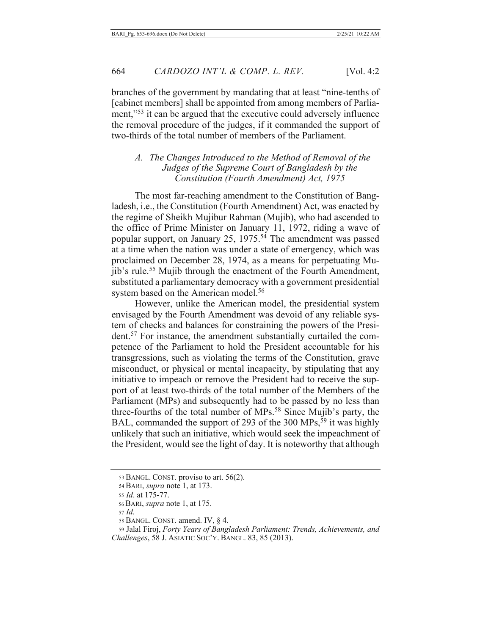branches of the government by mandating that at least "nine-tenths of [cabinet members] shall be appointed from among members of Parliament,"<sup>53</sup> it can be argued that the executive could adversely influence the removal procedure of the judges, if it commanded the support of two-thirds of the total number of members of the Parliament.

### A. The Changes Introduced to the Method of Removal of the *Judges of the Supreme Court of Bangladesh by the Constitution (Fourth Amendment) Act, 1975*

The most far-reaching amendment to the Constitution of Bangladesh, *i.e.*, the Constitution (Fourth Amendment) Act, was enacted by the regime of Sheikh Mujibur Rahman (Mujib), who had ascended to the office of Prime Minister on January 11, 1972, riding a wave of popular support, on January 25, 1975.<sup>54</sup> The amendment was passed at a time when the nation was under a state of emergency, which was proclaimed on December 28, 1974, as a means for perpetuating Mujib's rule.<sup>55</sup> Mujib through the enactment of the Fourth Amendment, substituted a parliamentary democracy with a government presidential system based on the American model.<sup>56</sup>

However, unlike the American model, the presidential system envisaged by the Fourth Amendment was devoid of any reliable system of checks and balances for constraining the powers of the Presi- $37$  For instance, the amendment substantially curtailed the competence of the Parliament to hold the President accountable for his transgressions, such as violating the terms of the Constitution, grave misconduct, or physical or mental incapacity, by stipulating that any initiative to impeach or remove the President had to receive the support of at least two-thirds of the total number of the Members of the Parliament (MPs) and subsequently had to be passed by no less than three-fourths of the total number of MPs.<sup>58</sup> Since Mujib's party, the BAL, commanded the support of 293 of the 300 MPs,<sup>59</sup> it was highly unlikely that such an initiative, which would seek the impeachment of the President, would see the light of day. It is noteworthy that although

<sup>53</sup> BANGL. CONST. proviso to art. 56(2).

<sup>54</sup> BARI, *supra* note 1, at 173.

<sup>55</sup> *Id.* at 175-77.

<sup>56</sup> BARI, *supra* note 1, at 175.

<sup>57</sup> *Id.* 

<sup>58</sup> BANGL. CONST. amend. IV,  $\S$  4.

<sup>59</sup> Jalal Firoj, Forty Years of Bangladesh Parliament: Trends, Achievements, and Challenges, 58 J. ASIATIC Soc'y. BANGL. 83, 85 (2013).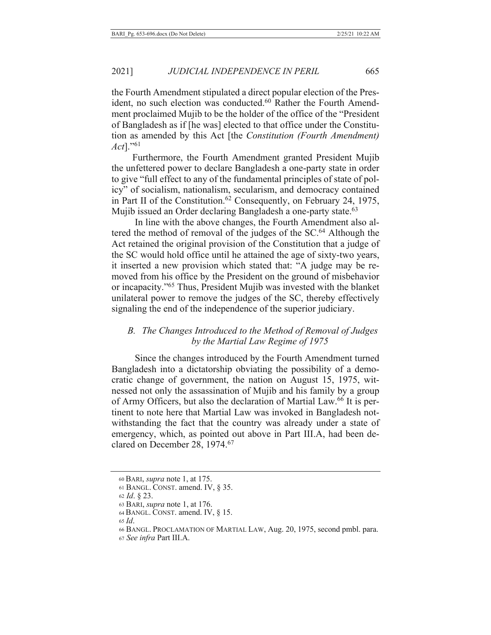2021]

the Fourth Amendment stipulated a direct popular election of the President, no such election was conducted.<sup>60</sup> Rather the Fourth Amendment proclaimed Mujib to be the holder of the office of the "President" of Bangladesh as if [he was] elected to that office under the Constitution as amended by this Act [the *Constitution (Fourth Amendment) Act*]."<sup>61</sup>

Furthermore, the Fourth Amendment granted President Mujib the unfettered power to declare Bangladesh a one-party state in order to give "full effect to any of the fundamental principles of state of policy" of socialism, nationalism, secularism, and democracy contained in Part II of the Constitution.<sup>62</sup> Consequently, on February 24, 1975, Mujib issued an Order declaring Bangladesh a one-party state.<sup>63</sup>

In line with the above changes, the Fourth Amendment also altered the method of removal of the judges of the SC.<sup>64</sup> Although the Act retained the original provision of the Constitution that a judge of the SC would hold office until he attained the age of sixty-two years, it inserted a new provision which stated that: "A judge may be removed from his office by the President on the ground of misbehavior or incapacity."<sup>65</sup> Thus, President Mujib was invested with the blanket unilateral power to remove the judges of the SC, thereby effectively signaling the end of the independence of the superior judiciary.

### B. The Changes Introduced to the Method of Removal of Judges by the Martial Law Regime of 1975

Since the changes introduced by the Fourth Amendment turned Bangladesh into a dictatorship obviating the possibility of a democratic change of government, the nation on August 15, 1975, witnessed not only the assassination of Mujib and his family by a group of Army Officers, but also the declaration of Martial Law.<sup>66</sup> It is pertinent to note here that Martial Law was invoked in Bangladesh notwithstanding the fact that the country was already under a state of emergency, which, as pointed out above in Part III.A, had been declared on December 28, 1974.<sup>67</sup>

<sup>60</sup> BARI, *supra* note 1, at 175.

<sup>61</sup> BANGL. CONST. amend. IV,  $\S$  35.

<sup>62</sup> *Id.* § 23.

<sup>63</sup> BARI, *supra* note 1, at 176.

<sup>64</sup> BANGL. CONST. amend. IV,  $\S$  15.

 $65$  *ld*.

<sup>66</sup> BANGL. PROCLAMATION OF MARTIAL LAW, Aug. 20, 1975, second pmbl. para.

<sup>67</sup> See infra Part III.A.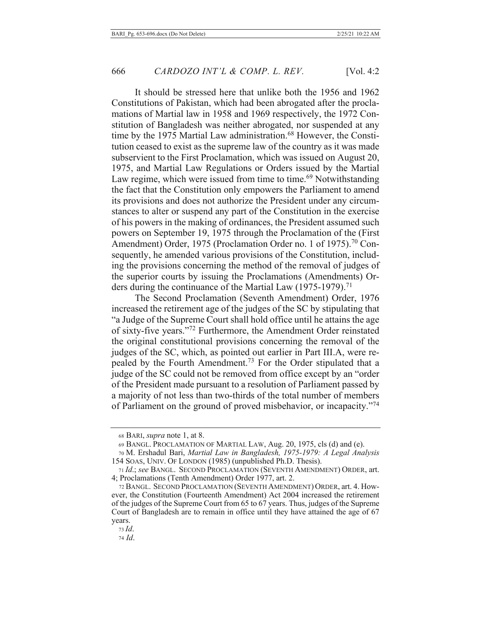It should be stressed here that unlike both the 1956 and 1962 Constitutions of Pakistan, which had been abrogated after the proclamations of Martial law in 1958 and 1969 respectively, the 1972 Constitution of Bangladesh was neither abrogated, nor suspended at any time by the 1975 Martial Law administration.<sup>68</sup> However, the Constitution ceased to exist as the supreme law of the country as it was made subservient to the First Proclamation, which was issued on August 20, 1975, and Martial Law Regulations or Orders issued by the Martial Law regime, which were issued from time to time.<sup>69</sup> Notwithstanding the fact that the Constitution only empowers the Parliament to amend its provisions and does not authorize the President under any circumstances to alter or suspend any part of the Constitution in the exercise of his powers in the making of ordinances, the President assumed such powers on September 19, 1975 through the Proclamation of the (First Amendment) Order, 1975 (Proclamation Order no. 1 of 1975).<sup>70</sup> Consequently, he amended various provisions of the Constitution, including the provisions concerning the method of the removal of judges of the superior courts by issuing the Proclamations (Amendments) Orders during the continuance of the Martial Law (1975-1979).<sup>71</sup>

The Second Proclamation (Seventh Amendment) Order, 1976 increased the retirement age of the judges of the SC by stipulating that "a Judge of the Supreme Court shall hold office until he attains the age of sixty-five years."<sup>72</sup> Furthermore, the Amendment Order reinstated the original constitutional provisions concerning the removal of the judges of the SC, which, as pointed out earlier in Part III.A, were repealed by the Fourth Amendment.<sup>73</sup> For the Order stipulated that a judge of the SC could not be removed from office except by an "order" of the President made pursuant to a resolution of Parliament passed by a majority of not less than two-thirds of the total number of members of Parliament on the ground of proved misbehavior, or incapacity."<sup>74</sup>

<sup>68</sup> BARI, *supra* note 1, at 8.

<sup>69</sup> BANGL. PROCLAMATION OF MARTIAL LAW, Aug. 20, 1975, cls (d) and (e).

<sup>70</sup> M. Ershadul Bari, Martial Law in Bangladesh, 1975-1979: A Legal Analysis 154 SOAS, UNIV. OF LONDON (1985) (unpublished Ph.D. Thesis).

<sup>71</sup> Id.; see BANGL. SECOND PROCLAMATION (SEVENTH AMENDMENT) ORDER, art. 4; Proclamations (Tenth Amendment) Order 1977, art. 2.

<sup>72</sup> BANGL. SECOND PROCLAMATION (SEVENTH AMENDMENT) ORDER, art. 4. However, the Constitution (Fourteenth Amendment) Act 2004 increased the retirement of the judges of the Supreme Court from 65 to 67 years. Thus, judges of the Supreme Court of Bangladesh are to remain in office until they have attained the age of 67 years.

 $73$  Id.

<sup>74</sup> Id.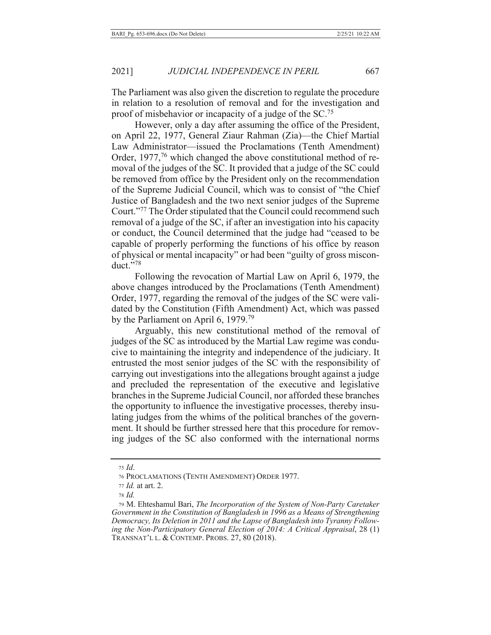The Parliament was also given the discretion to regulate the procedure in relation to a resolution of removal and for the investigation and proof of misbehavior or incapacity of a judge of the  $SC^{75}$ 

However, only a day after assuming the office of the President, on April 22, 1977, General Ziaur Rahman (Zia)—the Chief Martial Law Administrator—issued the Proclamations (Tenth Amendment) Order,  $1977<sup>76</sup>$  which changed the above constitutional method of removal of the judges of the SC. It provided that a judge of the SC could be removed from office by the President only on the recommendation of the Supreme Judicial Council, which was to consist of "the Chief Justice of Bangladesh and the two next senior judges of the Supreme Court."<sup>77</sup> The Order stipulated that the Council could recommend such removal of a judge of the SC, if after an investigation into his capacity or conduct, the Council determined that the judge had "ceased to be capable of properly performing the functions of his office by reason of physical or mental incapacity" or had been "guilty of gross misconduct. $\cdot$ <sup>78</sup>

Following the revocation of Martial Law on April 6, 1979, the above changes introduced by the Proclamations (Tenth Amendment) Order, 1977, regarding the removal of the judges of the SC were validated by the Constitution (Fifth Amendment) Act, which was passed by the Parliament on April 6, 1979.<sup>79</sup>

Arguably, this new constitutional method of the removal of judges of the SC as introduced by the Martial Law regime was conducive to maintaining the integrity and independence of the judiciary. It entrusted the most senior judges of the SC with the responsibility of carrying out investigations into the allegations brought against a judge and precluded the representation of the executive and legislative branches in the Supreme Judicial Council, nor afforded these branches the opportunity to influence the investigative processes, thereby insulating judges from the whims of the political branches of the government. It should be further stressed here that this procedure for removing judges of the SC also conformed with the international norms

 $75$  *Id.* 

<sup>76</sup> PROCLAMATIONS (TENTH AMENDMENT) ORDER 1977.

 $77$  *Id.* at art. 2.

*,*

<sup>&</sup>lt;sup>79</sup> M. Ehteshamul Bari, *The Incorporation of the System of Non-Party Caretaker* Government in the Constitution of Bangladesh in 1996 as a Means of Strengthening Democracy, Its Deletion in 2011 and the Lapse of Bangladesh into Tyranny Following the Non-Participatory General Election of 2014: A Critical Appraisal, 28 (1) TRANSNAT'L L. & CONTEMP. PROBS.  $27, 80$  (2018).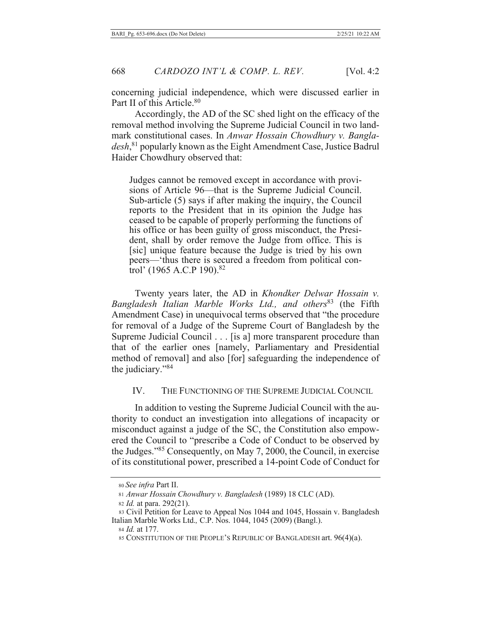concerning judicial independence, which were discussed earlier in Part II of this Article.<sup>80</sup>

Accordingly, the AD of the SC shed light on the efficacy of the removal method involving the Supreme Judicial Council in two landmark constitutional cases. In Anwar Hossain Chowdhury v. Bangla $desh,$ <sup>81</sup> popularly known as the Eight Amendment Case, Justice Badrul Haider Chowdhury observed that:

Judges cannot be removed except in accordance with provisions of Article 96—that is the Supreme Judicial Council. Sub-article (5) says if after making the inquiry, the Council reports to the President that in its opinion the Judge has ceased to be capable of properly performing the functions of his office or has been guilty of gross misconduct, the President, shall by order remove the Judge from office. This is [sic] unique feature because the Judge is tried by his own peers—'thus there is secured a freedom from political control' (1965 A.C.P 190).<sup>82</sup>

Twenty years later, the AD in Khondker Delwar Hossain v. Bangladesh Italian Marble Works Ltd., and others<sup>83</sup> (the Fifth Amendment Case) in unequivocal terms observed that "the procedure for removal of a Judge of the Supreme Court of Bangladesh by the Supreme Judicial Council . . . [is a] more transparent procedure than that of the earlier ones [namely, Parliamentary and Presidential method of removal] and also [for] safeguarding the independence of the judiciary."84

#### IV. THE FUNCTIONING OF THE SUPREME JUDICIAL COUNCIL

In addition to vesting the Supreme Judicial Council with the authority to conduct an investigation into allegations of incapacity or misconduct against a judge of the SC, the Constitution also empowered the Council to "prescribe a Code of Conduct to be observed by the Judges."<sup>85</sup> Consequently, on May 7, 2000, the Council, in exercise of its constitutional power, prescribed a 14-point Code of Conduct for

<sup>80</sup> See infra Part II.

<sup>81</sup> Anwar Hossain Chowdhury v. Bangladesh (1989) 18 CLC (AD).

<sup>82</sup> *Id.* at para. 292(21).

<sup>83</sup> Civil Petition for Leave to Appeal Nos 1044 and 1045, Hossain v. Bangladesh Italian Marble Works Ltd., C.P. Nos. 1044, 1045 (2009) (Bangl.).

<sup>84</sup> *Id.* at 177.

<sup>85</sup> CONSTITUTION OF THE PEOPLE'S REPUBLIC OF BANGLADESH art. 96(4)(a).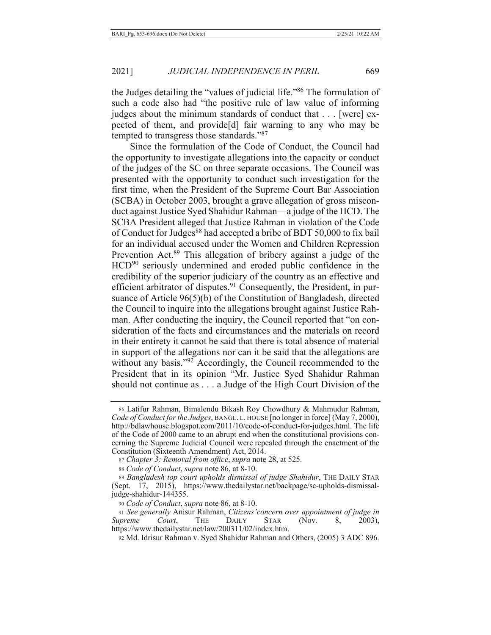the Judges detailing the "values of judicial life."86 The formulation of such a code also had "the positive rule of law value of informing judges about the minimum standards of conduct that  $\dots$  [were] expected of them, and provide<sup>[d]</sup> fair warning to any who may be tempted to transgress those standards."87

Since the formulation of the Code of Conduct, the Council had the opportunity to investigate allegations into the capacity or conduct of the judges of the SC on three separate occasions. The Council was presented with the opportunity to conduct such investigation for the first time, when the President of the Supreme Court Bar Association (SCBA) in October 2003, brought a grave allegation of gross misconduct against Justice Syed Shahidur Rahman—a judge of the HCD. The SCBA President alleged that Justice Rahman in violation of the Code of Conduct for Judges<sup>88</sup> had accepted a bribe of BDT 50,000 to fix bail for an individual accused under the Women and Children Repression Prevention Act.<sup>89</sup> This allegation of bribery against a judge of the HCD<sup>90</sup> seriously undermined and eroded public confidence in the credibility of the superior judiciary of the country as an effective and efficient arbitrator of disputes.<sup>91</sup> Consequently, the President, in pursuance of Article  $96(5)(b)$  of the Constitution of Bangladesh, directed the Council to inquire into the allegations brought against Justice Rahman. After conducting the inquiry, the Council reported that "on consideration of the facts and circumstances and the materials on record in their entirety it cannot be said that there is total absence of material in support of the allegations nor can it be said that the allegations are without any basis."<sup>92</sup> Accordingly, the Council recommended to the President that in its opinion "Mr. Justice Syed Shahidur Rahman should not continue as  $\dots$  a Judge of the High Court Division of the

<sup>86</sup> Latifur Rahman, Bimalendu Bikash Roy Chowdhury & Mahmudur Rahman, *Code of Conduct for the Judges, BANGL. L. HOUSE* [no longer in force] (May 7, 2000), http://bdlawhouse.blogspot.com/2011/10/code-of-conduct-for-judges.html. The life of the Code of 2000 came to an abrupt end when the constitutional provisions concerning the Supreme Judicial Council were repealed through the enactment of the Constitution (Sixteenth Amendment) Act, 2014.

<sup>87</sup> Chapter 3: Removal from office, supra note 28, at 525.

<sup>88</sup> Code of Conduct, supra note 86, at 8-10.

<sup>89</sup> Bangladesh top court upholds dismissal of judge Shahidur, THE DAILY STAR (Sept. 17, 2015), https://www.thedailystar.net/backpage/sc-upholds-dismissaljudge-shahidur-144355.

<sup>90</sup> Code of Conduct, supra note 86, at 8-10.

<sup>91</sup> See generally Anisur Rahman, Citizens' concern over appointment of judge in *Supreme Court*, THE DAILY STAR (Nov. 8, 2003), https://www.thedailystar.net/law/200311/02/index.htm.

<sup>92</sup> Md. Idrisur Rahman v. Syed Shahidur Rahman and Others, (2005) 3 ADC 896.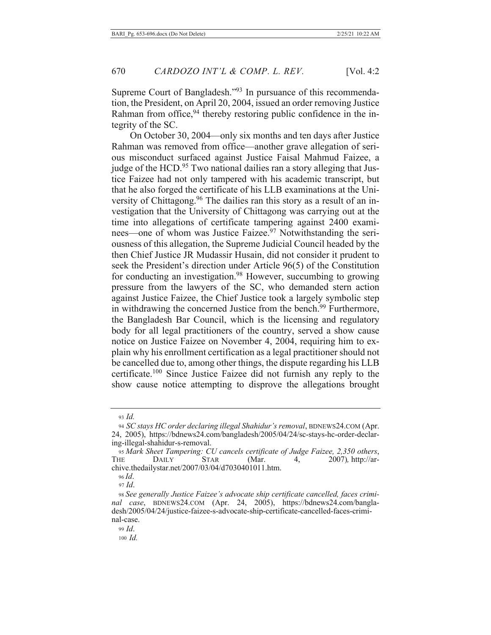Supreme Court of Bangladesh."<sup>93</sup> In pursuance of this recommendation, the President, on April 20, 2004, issued an order removing Justice Rahman from office,  $94$  thereby restoring public confidence in the integrity of the SC.

On October 30, 2004—only six months and ten days after Justice Rahman was removed from office—another grave allegation of serious misconduct surfaced against Justice Faisal Mahmud Faizee, a judge of the HCD.<sup>95</sup> Two national dailies ran a story alleging that Justice Faizee had not only tampered with his academic transcript, but that he also forged the certificate of his LLB examinations at the University of Chittagong.<sup>96</sup> The dailies ran this story as a result of an investigation that the University of Chittagong was carrying out at the time into allegations of certificate tampering against 2400 examinees—one of whom was Justice Faizee.<sup>97</sup> Notwithstanding the seriousness of this allegation, the Supreme Judicial Council headed by the then Chief Justice JR Mudassir Husain, did not consider it prudent to seek the President's direction under Article 96(5) of the Constitution for conducting an investigation.<sup>98</sup> However, succumbing to growing pressure from the lawyers of the SC, who demanded stern action against Justice Faizee, the Chief Justice took a largely symbolic step in withdrawing the concerned Justice from the bench.<sup>99</sup> Furthermore, the Bangladesh Bar Council, which is the licensing and regulatory body for all legal practitioners of the country, served a show cause notice on Justice Faizee on November 4, 2004, requiring him to explain why his enrollment certification as a legal practitioner should not be cancelled due to, among other things, the dispute regarding his LLB certificate.<sup>100</sup> Since Justice Faizee did not furnish any reply to the show cause notice attempting to disprove the allegations brought

 $99$  *Id.* 

 $100$  *Id.* 

<sup>93</sup> Id.

<sup>94</sup> SC stays HC order declaring illegal Shahidur's removal, BDNEWS24.COM (Apr. 24, 2005), https://bdnews24.com/bangladesh/2005/04/24/sc-stays-hc-order-declaring-illegal-shahidur-s-removal.

<sup>95</sup> Mark Sheet Tampering: CU cancels certificate of Judge Faizee, 2,350 others, **STAR** (Mar.  $4,$ 2007), http://ar-THE DAILY chive.thedailystar.net/2007/03/04/d7030401011.htm.

 $96$  Id. 97 Id.

<sup>98</sup> See generally Justice Faizee's advocate ship certificate cancelled, faces criminal case, BDNEWS24.COM (Apr. 24, 2005), https://bdnews24.com/bangladesh/2005/04/24/justice-faizee-s-advocate-ship-certificate-cancelled-faces-criminal-case.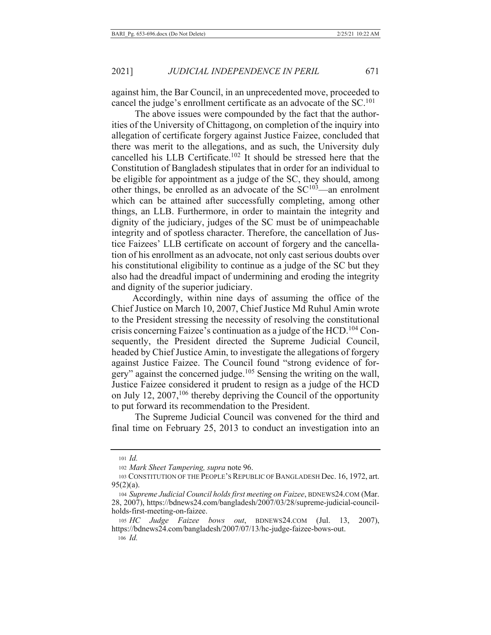against him, the Bar Council, in an unprecedented move, proceeded to cancel the judge's enrollment certificate as an advocate of the SC.<sup>101</sup>

671

The above issues were compounded by the fact that the authorities of the University of Chittagong, on completion of the inquiry into allegation of certificate forgery against Justice Faizee, concluded that there was merit to the allegations, and as such, the University duly cancelled his LLB Certificate.<sup>102</sup> It should be stressed here that the Constitution of Bangladesh stipulates that in order for an individual to be eligible for appointment as a judge of the SC, they should, among other things, be enrolled as an advocate of the  $SC^{103}$ —an enrolment which can be attained after successfully completing, among other things, an LLB. Furthermore, in order to maintain the integrity and dignity of the judiciary, judges of the SC must be of unimpeachable integrity and of spotless character. Therefore, the cancellation of Justice Faizees' LLB certificate on account of forgery and the cancellation of his enrollment as an advocate, not only cast serious doubts over his constitutional eligibility to continue as a judge of the SC but they also had the dreadful impact of undermining and eroding the integrity and dignity of the superior judiciary.

Accordingly, within nine days of assuming the office of the Chief Justice on March 10, 2007, Chief Justice Md Ruhul Amin wrote to the President stressing the necessity of resolving the constitutional crisis concerning Faizee's continuation as a judge of the HCD.<sup>104</sup> Consequently, the President directed the Supreme Judicial Council, headed by Chief Justice Amin, to investigate the allegations of forgery against Justice Faizee. The Council found "strong evidence of forgery" against the concerned judge.<sup>105</sup> Sensing the writing on the wall, Justice Faizee considered it prudent to resign as a judge of the HCD on July 12,  $2007$ ,  $106$  thereby depriving the Council of the opportunity to put forward its recommendation to the President.

The Supreme Judicial Council was convened for the third and final time on February 25, 2013 to conduct an investigation into an

<sup>101</sup> Id.

<sup>102</sup> Mark Sheet Tampering, supra note 96.

<sup>103</sup> CONSTITUTION OF THE PEOPLE'S REPUBLIC OF BANGLADESH Dec. 16, 1972, art.  $95(2)(a)$ .

<sup>104</sup> Supreme Judicial Council holds first meeting on Faizee, BDNEWS24.COM (Mar. 28, 2007), https://bdnews24.com/bangladesh/2007/03/28/supreme-judicial-councilholds-first-meeting-on-faizee.

 $_{105}$   $HC$ *Judge Faizee bows out*, BDNEWS24.COM (Jul. 13,  $2007$ ), https://bdnews24.com/bangladesh/2007/07/13/hc-judge-faizee-bows-out. 106 *Id.*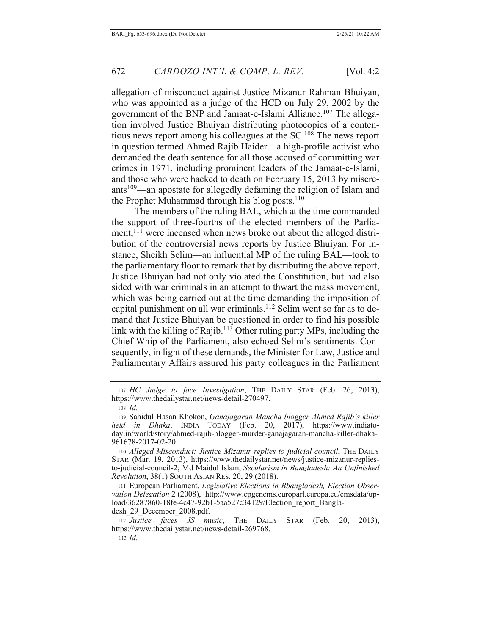allegation of misconduct against Justice Mizanur Rahman Bhuiyan, who was appointed as a judge of the HCD on July 29, 2002 by the government of the BNP and Jamaat-e-Islami Alliance.<sup>107</sup> The allegation involved Justice Bhuiyan distributing photocopies of a contentious news report among his colleagues at the  $SC<sup>108</sup>$  The news report in question termed Ahmed Rajib Haider—a high-profile activist who demanded the death sentence for all those accused of committing war crimes in 1971, including prominent leaders of the Jamaat-e-Islami, and those who were hacked to death on February 15, 2013 by miscreants<sup>109</sup>—an apostate for allegedly defaming the religion of Islam and the Prophet Muhammad through his blog posts.<sup>110</sup>

The members of the ruling BAL, which at the time commanded the support of three-fourths of the elected members of the Parliament,<sup>111</sup> were incensed when news broke out about the alleged distribution of the controversial news reports by Justice Bhuiyan. For instance, Sheikh Selim—an influential MP of the ruling BAL—took to the parliamentary floor to remark that by distributing the above report, Justice Bhuiyan had not only violated the Constitution, but had also sided with war criminals in an attempt to thwart the mass movement, which was being carried out at the time demanding the imposition of capital punishment on all war criminals.<sup>112</sup> Selim went so far as to demand that Justice Bhuiyan be questioned in order to find his possible link with the killing of Rajib.<sup>113</sup> Other ruling party MPs, including the Chief Whip of the Parliament, also echoed Selim's sentiments. Consequently, in light of these demands, the Minister for Law, Justice and Parliamentary Affairs assured his party colleagues in the Parliament

<sup>107</sup> HC Judge to face Investigation, THE DAILY STAR (Feb. 26, 2013), https://www.thedailystar.net/news-detail-270497.

<sup>108</sup> *Id.* 

<sup>109</sup> Sahidul Hasan Khokon, Ganajagaran Mancha blogger Ahmed Rajib's killer held in Dhaka, INDIA TODAY (Feb. 20, 2017), https://www.indiatoday.in/world/story/ahmed-rajib-blogger-murder-ganajagaran-mancha-killer-dhaka-961678-2017-02-20.

<sup>110</sup> Alleged Misconduct: Justice Mizanur replies to judicial council, THE DAILY STAR (Mar. 19, 2013), https://www.thedailystar.net/news/justice-mizanur-repliesto-judicial-council-2; Md Maidul Islam, Secularism in Bangladesh: An Unfinished Revolution, 38(1) SOUTH ASIAN RES. 20, 29 (2018).

<sup>111</sup> European Parliament, Legislative Elections in Bbangladesh, Election Observation Delegation 2 (2008), http://www.epgencms.europarl.europa.eu/cmsdata/upload/36287860-18fe-4c47-92b1-5aa527c34129/Election report Bangladesh 29 December 2008.pdf.

<sup>112</sup> Justice faces JS music, THE DAILY STAR (Feb. 20, 2013), https://www.thedailystar.net/news-detail-269768.

 $113$  *Id.*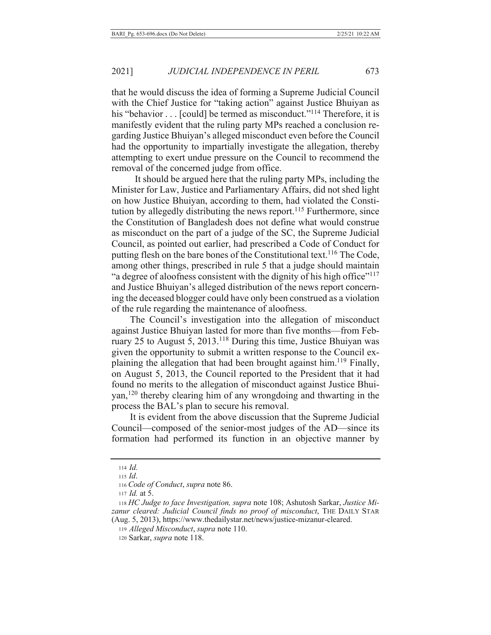that he would discuss the idea of forming a Supreme Judicial Council with the Chief Justice for "taking action" against Justice Bhuiyan as his "behavior  $\dots$  [could] be termed as misconduct."<sup>114</sup> Therefore, it is manifestly evident that the ruling party MPs reached a conclusion regarding Justice Bhuiyan's alleged misconduct even before the Council had the opportunity to impartially investigate the allegation, thereby attempting to exert undue pressure on the Council to recommend the removal of the concerned judge from office.

It should be argued here that the ruling party MPs, including the Minister for Law, Justice and Parliamentary Affairs, did not shed light on how Justice Bhuiyan, according to them, had violated the Constitution by allegedly distributing the news report.<sup>115</sup> Furthermore, since the Constitution of Bangladesh does not define what would construe as misconduct on the part of a judge of the SC, the Supreme Judicial Council, as pointed out earlier, had prescribed a Code of Conduct for putting flesh on the bare bones of the Constitutional text.<sup>116</sup> The Code, among other things, prescribed in rule 5 that a judge should maintain "a degree of aloofness consistent with the dignity of his high office"<sup>117</sup> and Justice Bhuiyan's alleged distribution of the news report concerning the deceased blogger could have only been construed as a violation of the rule regarding the maintenance of aloofness.

The Council's investigation into the allegation of misconduct against Justice Bhuiyan lasted for more than five months—from February 25 to August 5, 2013.<sup>118</sup> During this time, Justice Bhuiyan was given the opportunity to submit a written response to the Council explaining the allegation that had been brought against him.<sup>119</sup> Finally, on August 5, 2013, the Council reported to the President that it had found no merits to the allegation of misconduct against Justice Bhuiyan,<sup>120</sup> thereby clearing him of any wrongdoing and thwarting in the process the BAL's plan to secure his removal.

It is evident from the above discussion that the Supreme Judicial Council—composed of the senior-most judges of the AD—since its formation had performed its function in an objective manner by

 $114$  *Id.* 

 $_{115}$  *Id.* 

<sup>116</sup> Code of Conduct, supra note 86.

 $117$  *Id.* at 5.

<sup>118</sup> HC Judge to face Investigation, supra note 108; Ashutosh Sarkar, Justice Mizanur cleared: Judicial Council finds no proof of misconduct, THE DAILY STAR (Aug. 5, 2013), https://www.thedailystar.net/news/justice-mizanur-cleared.

<sup>119</sup> Alleged Misconduct, supra note 110.

<sup>120</sup> Sarkar, *supra* note 118.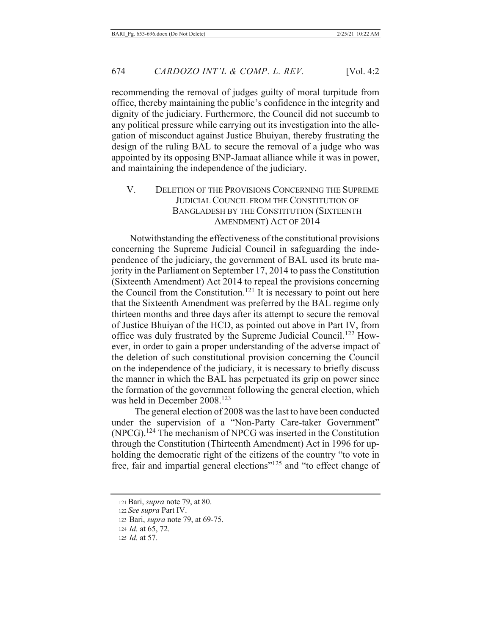recommending the removal of judges guilty of moral turpitude from office, thereby maintaining the public's confidence in the integrity and dignity of the judiciary. Furthermore, the Council did not succumb to any political pressure while carrying out its investigation into the allegation of misconduct against Justice Bhuiyan, thereby frustrating the design of the ruling BAL to secure the removal of a judge who was appointed by its opposing BNP-Jamaat alliance while it was in power, and maintaining the independence of the judiciary.

## V. DELETION OF THE PROVISIONS CONCERNING THE SUPREME JUDICIAL COUNCIL FROM THE CONSTITUTION OF BANGLADESH BY THE CONSTITUTION (SIXTEENTH AMENDMENT) ACT OF 2014

Notwithstanding the effectiveness of the constitutional provisions concerning the Supreme Judicial Council in safeguarding the independence of the judiciary, the government of BAL used its brute majority in the Parliament on September  $17, 2014$  to pass the Constitution (Sixteenth Amendment) Act 2014 to repeal the provisions concerning the Council from the Constitution.<sup>121</sup> It is necessary to point out here that the Sixteenth Amendment was preferred by the BAL regime only thirteen months and three days after its attempt to secure the removal of Justice Bhuiyan of the HCD, as pointed out above in Part IV, from office was duly frustrated by the Supreme Judicial Council.<sup>122</sup> However, in order to gain a proper understanding of the adverse impact of the deletion of such constitutional provision concerning the Council on the independence of the judiciary, it is necessary to briefly discuss the manner in which the BAL has perpetuated its grip on power since the formation of the government following the general election, which was held in December 2008.<sup>123</sup>

The general election of 2008 was the last to have been conducted under the supervision of a "Non-Party Care-taker Government"  $(NPCG).<sup>124</sup>$  The mechanism of NPCG was inserted in the Constitution through the Constitution (Thirteenth Amendment) Act in 1996 for upholding the democratic right of the citizens of the country "to vote in free, fair and impartial general elections"<sup>125</sup> and "to effect change of

<sup>121</sup> Bari, *supra* note 79, at 80.

<sup>122</sup> See supra Part IV.

<sup>123</sup> Bari, *supra* note 79, at 69-75.

<sup>124</sup> *Id.* at 65, 72.

<sup>125</sup> *Id.* at 57.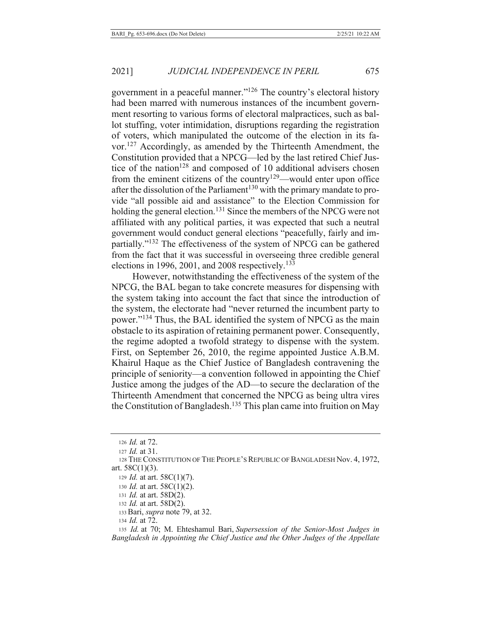government in a peaceful manner."<sup>126</sup> The country's electoral history had been marred with numerous instances of the incumbent government resorting to various forms of electoral malpractices, such as ballot stuffing, voter intimidation, disruptions regarding the registration of voters, which manipulated the outcome of the election in its favor.<sup>127</sup> Accordingly, as amended by the Thirteenth Amendment, the Constitution provided that a NPCG—led by the last retired Chief Justice of the nation<sup>128</sup> and composed of 10 additional advisers chosen from the eminent citizens of the country<sup>129</sup>—would enter upon office after the dissolution of the Parliament<sup>130</sup> with the primary mandate to provide "all possible aid and assistance" to the Election Commission for holding the general election.<sup>131</sup> Since the members of the NPCG were not affiliated with any political parties, it was expected that such a neutral government would conduct general elections "peacefully, fairly and impartially."<sup>132</sup> The effectiveness of the system of NPCG can be gathered from the fact that it was successful in overseeing three credible general elections in 1996, 2001, and 2008 respectively.<sup>133</sup>

However, notwithstanding the effectiveness of the system of the NPCG, the BAL began to take concrete measures for dispensing with the system taking into account the fact that since the introduction of the system, the electorate had "never returned the incumbent party to power."<sup>134</sup> Thus, the BAL identified the system of NPCG as the main obstacle to its aspiration of retaining permanent power. Consequently, the regime adopted a twofold strategy to dispense with the system. First, on September 26, 2010, the regime appointed Justice A.B.M. Khairul Haque as the Chief Justice of Bangladesh contravening the principle of seniority—a convention followed in appointing the Chief Justice among the judges of the AD—to secure the declaration of the Thirteenth Amendment that concerned the NPCG as being ultra vires the Constitution of Bangladesh.<sup>135</sup> This plan came into fruition on May

135 Id. at 70; M. Ehteshamul Bari, Supersession of the Senior-Most Judges in Bangladesh in Appointing the Chief Justice and the Other Judges of the Appellate

<sup>126</sup> *Id.* at 72.

<sup>127</sup>  $Id.$  at 31.

<sup>128</sup> THE CONSTITUTION OF THE PEOPLE'S REPUBLIC OF BANGLADESH Nov. 4, 1972, art.  $58C(1)(3)$ .

<sup>129</sup> *Id.* at art.  $58C(1)(7)$ .

<sup>130</sup> *Id.* at art.  $58C(1)(2)$ .

<sup>131</sup> *Id.* at art.  $58D(2)$ .

<sup>132</sup> *Id.* at art. 58D(2).

<sup>133</sup> Bari, supra note 79, at 32.

<sup>134</sup> *Id.* at 72.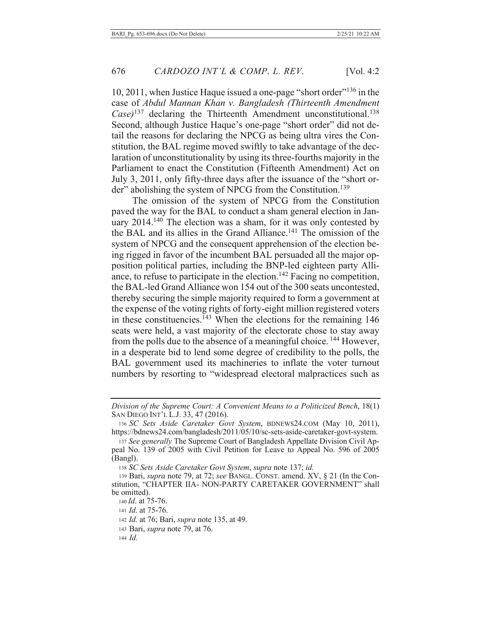10, 2011, when Justice Haque issued a one-page "short order"<sup>136</sup> in the case of Abdul Mannan Khan v. Bangladesh (Thirteenth Amendment  $\text{Case}$ )<sup>137</sup> declaring the Thirteenth Amendment unconstitutional.<sup>138</sup> Second, although Justice Haque's one-page "short order" did not detail the reasons for declaring the NPCG as being ultra vires the Constitution, the BAL regime moved swiftly to take advantage of the declaration of unconstitutionality by using its three-fourths majority in the Parliament to enact the Constitution (Fifteenth Amendment) Act on July 3, 2011, only fifty-three days after the issuance of the "short order" abolishing the system of NPCG from the Constitution.<sup>139</sup>

The omission of the system of NPCG from the Constitution paved the way for the BAL to conduct a sham general election in January 2014.<sup>140</sup> The election was a sham, for it was only contested by the BAL and its allies in the Grand Alliance.<sup>141</sup> The omission of the system of NPCG and the consequent apprehension of the election being rigged in favor of the incumbent BAL persuaded all the major opposition political parties, including the BNP-led eighteen party Alliance, to refuse to participate in the election.<sup>142</sup> Facing no competition, the BAL-led Grand Alliance won 154 out of the 300 seats uncontested, thereby securing the simple majority required to form a government at the expense of the voting rights of forty-eight million registered voters in these constituencies.<sup>143</sup> When the elections for the remaining  $146$ seats were held, a vast majority of the electorate chose to stay away from the polls due to the absence of a meaningful choice.<sup>144</sup> However, in a desperate bid to lend some degree of credibility to the polls, the BAL government used its machineries to inflate the voter turnout numbers by resorting to "widespread electoral malpractices such as

138 SC Sets Aside Caretaker Govt System, supra note 137; id.

140 *Id.* at 75-76.

141 *Id.* at 75-76.

Division of the Supreme Court: A Convenient Means to a Politicized Bench, 18(1) SAN DIEGO INT'L L.J. 33, 47 (2016).

<sup>136</sup> SC Sets Aside Caretaker Govt System, BDNEWS24.COM (May 10, 2011), https://bdnews24.com/bangladesh/2011/05/10/sc-sets-aside-caretaker-govt-system.

<sup>137</sup> See generally The Supreme Court of Bangladesh Appellate Division Civil Appeal No. 139 of 2005 with Civil Petition for Leave to Appeal No. 596 of 2005  $(Bangl).$ 

<sup>139</sup> Bari, *supra* note 79, at 72; see BANGL. CONST. amend. XV, § 21 (In the Constitution, "CHAPTER IIA- NON-PARTY CARETAKER GOVERNMENT" shall be omitted).

<sup>142</sup> *Id.* at 76; Bari, *supra* note 135, at 49.

<sup>143</sup> Bari, *supra* note 79, at 76.

 $144$  *Id.*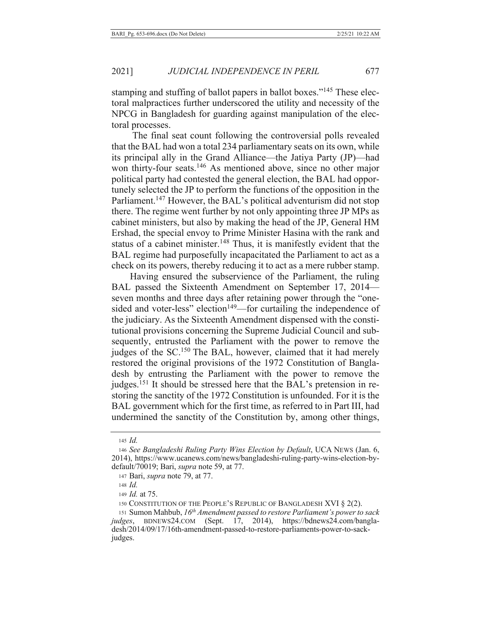stamping and stuffing of ballot papers in ballot boxes."<sup>145</sup> These electoral malpractices further underscored the utility and necessity of the NPCG in Bangladesh for guarding against manipulation of the electoral processes.

The final seat count following the controversial polls revealed that the BAL had won a total 234 parliamentary seats on its own, while its principal ally in the Grand Alliance—the Jatiya Party (JP)—had won thirty-four seats.<sup>146</sup> As mentioned above, since no other major political party had contested the general election, the BAL had opportunely selected the JP to perform the functions of the opposition in the Parliament.<sup>147</sup> However, the BAL's political adventurism did not stop there. The regime went further by not only appointing three JP MPs as cabinet ministers, but also by making the head of the JP, General HM Ershad, the special envoy to Prime Minister Hasina with the rank and status of a cabinet minister.<sup>148</sup> Thus, it is manifestly evident that the BAL regime had purposefully incapacitated the Parliament to act as a check on its powers, thereby reducing it to act as a mere rubber stamp.

Having ensured the subservience of the Parliament, the ruling BAL passed the Sixteenth Amendment on September 17, 2014 seven months and three days after retaining power through the "onesided and voter-less" election<sup>149</sup>—for curtailing the independence of the judiciary. As the Sixteenth Amendment dispensed with the constitutional provisions concerning the Supreme Judicial Council and subsequently, entrusted the Parliament with the power to remove the judges of the SC.<sup>150</sup> The BAL, however, claimed that it had merely restored the original provisions of the 1972 Constitution of Bangladesh by entrusting the Parliament with the power to remove the judges.<sup>151</sup> It should be stressed here that the BAL's pretension in restoring the sanctity of the 1972 Constitution is unfounded. For it is the BAL government which for the first time, as referred to in Part III, had undermined the sanctity of the Constitution by, among other things,

 $145$  *Id.* 

<sup>146</sup> See Bangladeshi Ruling Party Wins Election by Default, UCA NEWS (Jan. 6, 2014), https://www.ucanews.com/news/bangladeshi-ruling-party-wins-election-bydefault/70019; Bari, *supra* note 59, at 77.

<sup>147</sup> Bari, *supra* note 79, at 77.

<sup>148</sup> *Id.* 

<sup>149</sup> *Id.* at 75.

<sup>150</sup> CONSTITUTION OF THE PEOPLE'S REPUBLIC OF BANGLADESH XVI  $\S 2(2)$ .

<sup>151</sup> Sumon Mahbub, 16<sup>th</sup> Amendment passed to restore Parliament's power to sack judges, BDNEWS24.COM (Sept. 17, 2014), https://bdnews24.com/bangladesh/2014/09/17/16th-amendment-passed-to-restore-parliaments-power-to-sackjudges.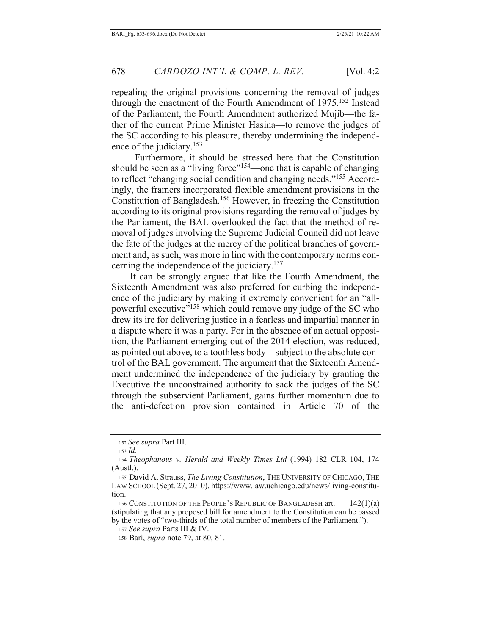repealing the original provisions concerning the removal of judges through the enactment of the Fourth Amendment of  $1975$ .<sup>152</sup> Instead of the Parliament, the Fourth Amendment authorized Mujib—the father of the current Prime Minister Hasina—to remove the judges of the SC according to his pleasure, thereby undermining the independence of the judiciary.<sup>153</sup>

Furthermore, it should be stressed here that the Constitution should be seen as a "living force"<sup>154</sup>—one that is capable of changing to reflect "changing social condition and changing needs."<sup>155</sup> Accordingly, the framers incorporated flexible amendment provisions in the Constitution of Bangladesh.<sup>156</sup> However, in freezing the Constitution according to its original provisions regarding the removal of judges by the Parliament, the BAL overlooked the fact that the method of removal of judges involving the Supreme Judicial Council did not leave the fate of the judges at the mercy of the political branches of government and, as such, was more in line with the contemporary norms concerning the independence of the judiciary.<sup>157</sup>

It can be strongly argued that like the Fourth Amendment, the Sixteenth Amendment was also preferred for curbing the independence of the judiciary by making it extremely convenient for an "allpowerful executive"<sup>158</sup> which could remove any judge of the SC who drew its ire for delivering justice in a fearless and impartial manner in a dispute where it was a party. For in the absence of an actual opposition, the Parliament emerging out of the 2014 election, was reduced, as pointed out above, to a toothless body—subject to the absolute control of the BAL government. The argument that the Sixteenth Amendment undermined the independence of the judiciary by granting the Executive the unconstrained authority to sack the judges of the SC through the subservient Parliament, gains further momentum due to the anti-defection provision contained in Article 70 of the

156 CONSTITUTION OF THE PEOPLE'S REPUBLIC OF BANGLADESH art.  $42(1)(a)$ (stipulating that any proposed bill for amendment to the Constitution can be passed by the votes of "two-thirds of the total number of members of the Parliament.").

157 See supra Parts III & IV.

158 Bari, *supra* note 79, at 80, 81.

<sup>152</sup> See supra Part III.

 $153$  *Id.* 

<sup>154</sup> Theophanous v. Herald and Weekly Times Ltd (1994) 182 CLR 104, 174  $(Austl.)$ .

<sup>155</sup> David A. Strauss, The Living Constitution, THE UNIVERSITY OF CHICAGO, THE LAW SCHOOL (Sept. 27, 2010), https://www.law.uchicago.edu/news/living-constitution.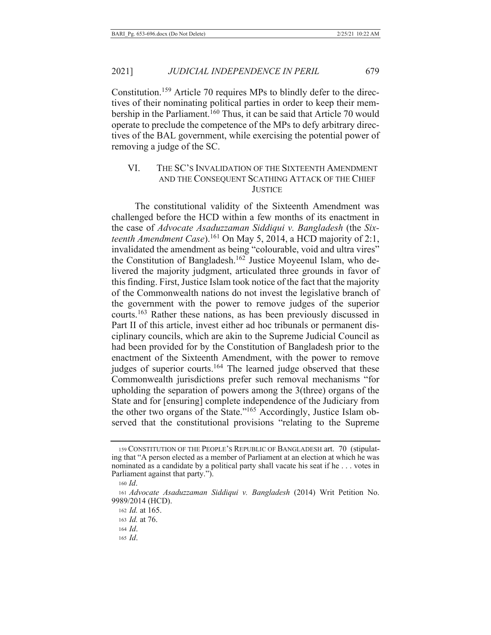2021]

Constitution.<sup>159</sup> Article 70 requires MPs to blindly defer to the directives of their nominating political parties in order to keep their membership in the Parliament.<sup>160</sup> Thus, it can be said that Article 70 would operate to preclude the competence of the MPs to defy arbitrary directives of the BAL government, while exercising the potential power of removing a judge of the SC.

#### VI. THE SC'S INVALIDATION OF THE SIXTEENTH AMENDMENT AND THE CONSEQUENT SCATHING ATTACK OF THE CHIEF **JUSTICE**

The constitutional validity of the Sixteenth Amendment was challenged before the HCD within a few months of its enactment in the case of Advocate Asaduzzaman Siddiqui v. Bangladesh (the Sixteenth Amendment Case).<sup>161</sup> On May 5, 2014, a HCD majority of 2:1, invalidated the amendment as being "colourable, void and ultra vires" the Constitution of Bangladesh.<sup>162</sup> Justice Moyeenul Islam, who delivered the majority judgment, articulated three grounds in favor of this finding. First, Justice Islam took notice of the fact that the majority of the Commonwealth nations do not invest the legislative branch of the government with the power to remove judges of the superior courts.<sup>163</sup> Rather these nations, as has been previously discussed in Part II of this article, invest either ad hoc tribunals or permanent disciplinary councils, which are akin to the Supreme Judicial Council as had been provided for by the Constitution of Bangladesh prior to the enactment of the Sixteenth Amendment, with the power to remove judges of superior courts.<sup>164</sup> The learned judge observed that these Commonwealth jurisdictions prefer such removal mechanisms "for upholding the separation of powers among the  $3$ (three) organs of the State and for [ensuring] complete independence of the Judiciary from the other two organs of the State."<sup>165</sup> Accordingly, Justice Islam observed that the constitutional provisions "relating to the Supreme

<sup>159</sup> CONSTITUTION OF THE PEOPLE'S REPUBLIC OF BANGLADESH art. 70 (stipulating that "A person elected as a member of Parliament at an election at which he was nominated as a candidate by a political party shall vacate his seat if he . . . votes in Parliament against that party.").

 $160$  *Id.* 

<sup>161</sup> Advocate Asaduzzaman Siddiqui v. Bangladesh (2014) Writ Petition No. 9989/2014 (HCD).

<sup>162</sup> *Id.* at 165.

<sup>163</sup> *Id.* at 76.

 $164$  *Id.* 

 $165$  *Id.*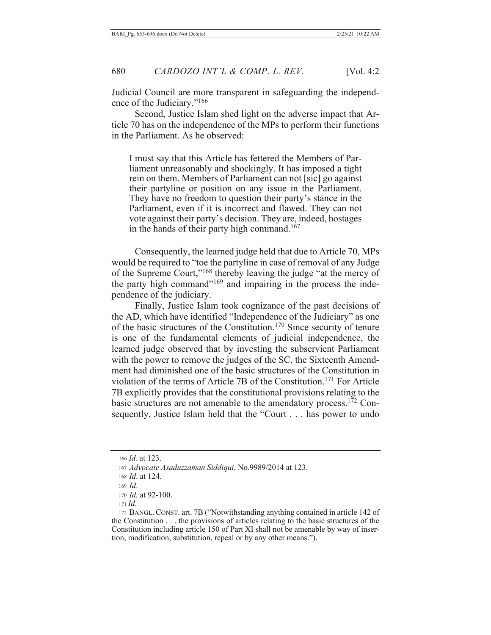Judicial Council are more transparent in safeguarding the independence of the Judiciary."<sup>166</sup>

Second, Justice Islam shed light on the adverse impact that Article 70 has on the independence of the MPs to perform their functions in the Parliament. As he observed:

I must say that this Article has fettered the Members of Parliament unreasonably and shockingly. It has imposed a tight rein on them. Members of Parliament can not [sic] go against their partyline or position on any issue in the Parliament. They have no freedom to question their party's stance in the Parliament, even if it is incorrect and flawed. They can not vote against their party's decision. They are, indeed, hostages in the hands of their party high command.<sup>167</sup>

Consequently, the learned judge held that due to Article 70, MPs would be required to "toe the partyline in case of removal of any Judge of the Supreme Court,"<sup>168</sup> thereby leaving the judge "at the mercy of the party high command"<sup>169</sup> and impairing in the process the independence of the judiciary.

Finally, Justice Islam took cognizance of the past decisions of the AD, which have identified "Independence of the Judiciary" as one of the basic structures of the Constitution.<sup>170</sup> Since security of tenure is one of the fundamental elements of judicial independence, the learned judge observed that by investing the subservient Parliament with the power to remove the judges of the SC, the Sixteenth Amendment had diminished one of the basic structures of the Constitution in violation of the terms of Article 7B of the Constitution.<sup>171</sup> For Article 7B explicitly provides that the constitutional provisions relating to the basic structures are not amenable to the amendatory process.<sup>172</sup> Consequently, Justice Islam held that the "Court . . . has power to undo

<sup>166</sup> *Id.* at 123.

<sup>167</sup> Advocate Asaduzzaman Siddiqui, No.9989/2014 at 123.

<sup>168</sup> *Id.* at 124.

 $169$  *Id.* 

<sup>170</sup> *Id.* at 92-100.

 $171$  *Id.* 

<sup>172</sup> BANGL. CONST. art. 7B ("Notwithstanding anything contained in article 142 of the Constitution  $\dots$  the provisions of articles relating to the basic structures of the Constitution including article 150 of Part XI shall not be amenable by way of insertion, modification, substitution, repeal or by any other means.").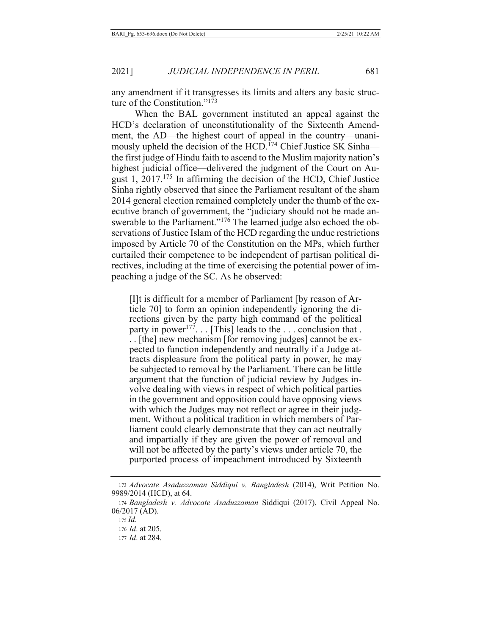any amendment if it transgresses its limits and alters any basic structure of the Constitution."173

When the BAL government instituted an appeal against the HCD's declaration of unconstitutionality of the Sixteenth Amendment, the AD—the highest court of appeal in the country—unanimously upheld the decision of the HCD.<sup>174</sup> Chief Justice SK Sinhathe first judge of Hindu faith to ascend to the Muslim majority nation's highest judicial office—delivered the judgment of the Court on August 1,  $2017$ <sup> $175$ </sup> In affirming the decision of the HCD, Chief Justice Sinha rightly observed that since the Parliament resultant of the sham 2014 general election remained completely under the thumb of the executive branch of government, the "judiciary should not be made answerable to the Parliament."<sup>176</sup> The learned judge also echoed the observations of Justice Islam of the HCD regarding the undue restrictions imposed by Article 70 of the Constitution on the MPs, which further curtailed their competence to be independent of partisan political directives, including at the time of exercising the potential power of impeaching a judge of the SC. As he observed:

[I]t is difficult for a member of Parliament [by reason of Article 70 to form an opinion independently ignoring the directions given by the party high command of the political<br>party in power<sup>177</sup>... [This] leads to the ... conclusion that. ... [the] new mechanism [for removing judges] cannot be expected to function independently and neutrally if a Judge attracts displeasure from the political party in power, he may be subjected to removal by the Parliament. There can be little argument that the function of judicial review by Judges involve dealing with views in respect of which political parties in the government and opposition could have opposing views with which the Judges may not reflect or agree in their judgment. Without a political tradition in which members of Parliament could clearly demonstrate that they can act neutrally and impartially if they are given the power of removal and will not be affected by the party's views under article 70, the purported process of impeachment introduced by Sixteenth

<sup>173</sup> Advocate Asaduzzaman Siddiqui v. Bangladesh (2014), Writ Petition No. 9989/2014 (HCD), at 64.

<sup>174</sup> Bangladesh v. Advocate Asaduzzaman Siddiqui (2017), Civil Appeal No.  $06/2017$  (AD).

 $175$  *Id.* 

<sup>176</sup> *Id.* at 205.

<sup>177</sup> *Id.* at 284.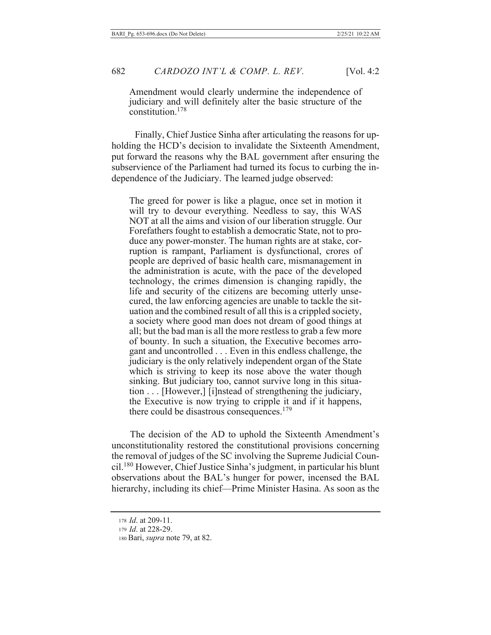Amendment would clearly undermine the independence of judiciary and will definitely alter the basic structure of the constitution.<sup>178</sup>

Finally, Chief Justice Sinha after articulating the reasons for upholding the HCD's decision to invalidate the Sixteenth Amendment, put forward the reasons why the BAL government after ensuring the subservience of the Parliament had turned its focus to curbing the independence of the Judiciary. The learned judge observed:

The greed for power is like a plague, once set in motion it will try to devour everything. Needless to say, this WAS NOT at all the aims and vision of our liberation struggle. Our Forefathers fought to establish a democratic State, not to produce any power-monster. The human rights are at stake, corruption is rampant, Parliament is dysfunctional, crores of people are deprived of basic health care, mismanagement in the administration is acute, with the pace of the developed technology, the crimes dimension is changing rapidly, the life and security of the citizens are becoming utterly unsecured, the law enforcing agencies are unable to tackle the situation and the combined result of all this is a crippled society, a society where good man does not dream of good things at all; but the bad man is all the more restless to grab a few more of bounty. In such a situation, the Executive becomes arrogant and uncontrolled . . . Even in this endless challenge, the judiciary is the only relatively independent organ of the State which is striving to keep its nose above the water though sinking. But judiciary too, cannot survive long in this situation . . . [However,] [i]nstead of strengthening the judiciary, the Executive is now trying to cripple it and if it happens, there could be disastrous consequences.<sup>179</sup>

The decision of the AD to uphold the Sixteenth Amendment's unconstitutionality restored the constitutional provisions concerning the removal of judges of the SC involving the Supreme Judicial Council.<sup>180</sup> However, Chief Justice Sinha's judgment, in particular his blunt observations about the BAL's hunger for power, incensed the BAL hierarchy, including its chief—Prime Minister Hasina. As soon as the

<sup>178</sup> *Id.* at 209-11.

<sup>179</sup> Id. at 228-29.

<sup>180</sup> Bari, *supra* note 79, at 82.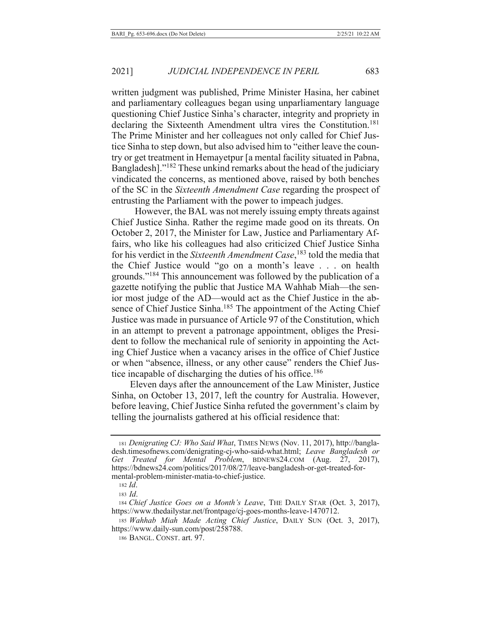written judgment was published, Prime Minister Hasina, her cabinet and parliamentary colleagues began using unparliamentary language questioning Chief Justice Sinha's character, integrity and propriety in declaring the Sixteenth Amendment ultra vires the Constitution.<sup>181</sup> The Prime Minister and her colleagues not only called for Chief Justice Sinha to step down, but also advised him to "either leave the country or get treatment in Hemayetpur [a mental facility situated in Pabna, Bangladesh]."<sup>182</sup> These unkind remarks about the head of the judiciary vindicated the concerns, as mentioned above, raised by both benches of the SC in the Sixteenth Amendment Case regarding the prospect of entrusting the Parliament with the power to impeach judges.

However, the BAL was not merely issuing empty threats against Chief Justice Sinha. Rather the regime made good on its threats. On October 2, 2017, the Minister for Law, Justice and Parliamentary Affairs, who like his colleagues had also criticized Chief Justice Sinha for his verdict in the Sixteenth Amendment Case,<sup>183</sup> told the media that the Chief Justice would "go on a month's leave . . . on health grounds."<sup>184</sup> This announcement was followed by the publication of a gazette notifying the public that Justice MA Wahhab Miah—the senior most judge of the AD—would act as the Chief Justice in the absence of Chief Justice Sinha.<sup>185</sup> The appointment of the Acting Chief Justice was made in pursuance of Article 97 of the Constitution, which in an attempt to prevent a patronage appointment, obliges the President to follow the mechanical rule of seniority in appointing the Acting Chief Justice when a vacancy arises in the office of Chief Justice or when "absence, illness, or any other cause" renders the Chief Justice incapable of discharging the duties of his office.<sup>186</sup>

Eleven days after the announcement of the Law Minister, Justice Sinha, on October 13, 2017, left the country for Australia. However, before leaving, Chief Justice Sinha refuted the government's claim by telling the journalists gathered at his official residence that:

<sup>181</sup> Denigrating CJ: Who Said What, TIMES NEWS (Nov. 11, 2017), http://bangladesh.timesofnews.com/denigrating-cj-who-said-what.html; Leave Bangladesh or Treated for Mental Problem, BDNEWS24.COM (Aug. 27, 2017), Get https://bdnews24.com/politics/2017/08/27/leave-bangladesh-or-get-treated-formental-problem-minister-matia-to-chief-justice.

 $182$  *Id.* 

 $183$  *Id.* 

<sup>184</sup> Chief Justice Goes on a Month's Leave, THE DAILY STAR (Oct. 3, 2017), https://www.thedailystar.net/frontpage/cj-goes-months-leave-1470712.

<sup>185</sup> Wahhab Miah Made Acting Chief Justice, DAILY SUN (Oct. 3, 2017), https://www.daily-sun.com/post/258788.

<sup>186</sup> BANGL. CONST. art. 97.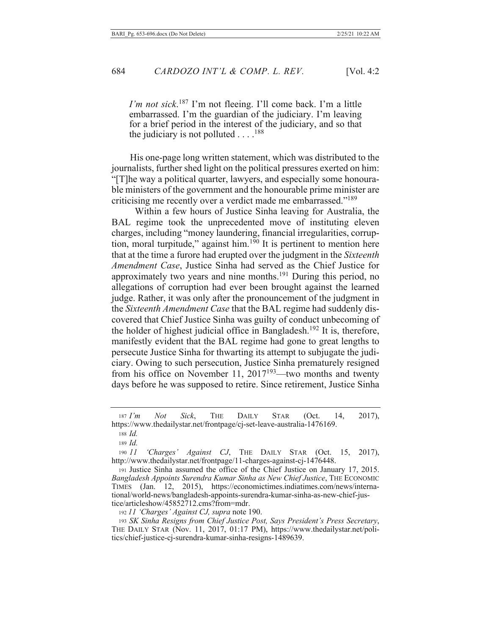I'm not sick.<sup>187</sup> I'm not fleeing. I'll come back. I'm a little embarrassed. I'm the guardian of the judiciary. I'm leaving for a brief period in the interest of the judiciary, and so that the judiciary is not polluted  $\dots$ .<sup>188</sup>

His one-page long written statement, which was distributed to the journalists, further shed light on the political pressures exerted on him: "[T] he way a political quarter, lawyers, and especially some honourable ministers of the government and the honourable prime minister are criticising me recently over a verdict made me embarrassed."<sup>189</sup>

Within a few hours of Justice Sinha leaving for Australia, the BAL regime took the unprecedented move of instituting eleven charges, including "money laundering, financial irregularities, corruption, moral turpitude," against him. $1\overline{90}$  It is pertinent to mention here that at the time a furore had erupted over the judgment in the Sixteenth Amendment Case, Justice Sinha had served as the Chief Justice for approximately two years and nine months.<sup>191</sup> During this period, no allegations of corruption had ever been brought against the learned judge. Rather, it was only after the pronouncement of the judgment in the Sixteenth Amendment Case that the BAL regime had suddenly discovered that Chief Justice Sinha was guilty of conduct unbecoming of the holder of highest judicial office in Bangladesh.<sup>192</sup> It is, therefore, manifestly evident that the BAL regime had gone to great lengths to persecute Justice Sinha for thwarting its attempt to subjugate the judiciary. Owing to such persecution, Justice Sinha prematurely resigned from his office on November 11,  $2017^{193}$ —two months and twenty days before he was supposed to retire. Since retirement, Justice Sinha

**THE** 14.  $2017$ ,  $187 I'm$ Not Sick. **DAILY STAR**  $(Oct.$ https://www.thedailystar.net/frontpage/cj-set-leave-australia-1476169.

 $190$   $11$ 'Charges' Against CJ, THE DAILY STAR (Oct. 15. 2017), http://www.thedailystar.net/frontpage/11-charges-against-cj-1476448.

191 Justice Sinha assumed the office of the Chief Justice on January 17, 2015. Bangladesh Appoints Surendra Kumar Sinha as New Chief Justice, THE ECONOMIC TIMES (Jan. 12, 2015), https://economictimes.indiatimes.com/news/international/world-news/bangladesh-appoints-surendra-kumar-sinha-as-new-chief-justice/articleshow/45852712.cms?from=mdr.

192 11 'Charges' Against CJ, supra note 190.

193 SK Sinha Resigns from Chief Justice Post, Says President's Press Secretary, THE DAILY STAR (Nov. 11, 2017, 01:17 PM), https://www.thedailystar.net/politics/chief-justice-cj-surendra-kumar-sinha-resigns-1489639.

 $188$  *Id.* 

<sup>189</sup>  $Id.$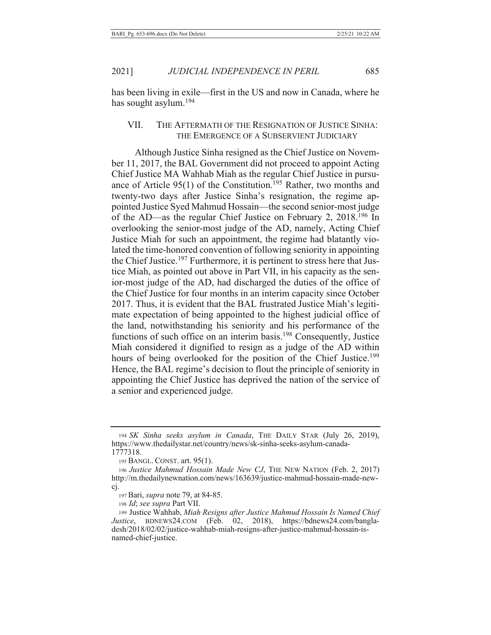has been living in exile—first in the US and now in Canada, where he has sought asylum.<sup>194</sup>

### VII. THE AFTERMATH OF THE RESIGNATION OF JUSTICE SINHA: THE EMERGENCE OF A SUBSERVIENT JUDICIARY

Although Justice Sinha resigned as the Chief Justice on November 11, 2017, the BAL Government did not proceed to appoint Acting Chief Justice MA Wahhab Miah as the regular Chief Justice in pursuance of Article 95(1) of the Constitution.<sup>195</sup> Rather, two months and twenty-two days after Justice Sinha's resignation, the regime appointed Justice Syed Mahmud Hossain—the second senior-most judge of the AD—as the regular Chief Justice on February 2, 2018.<sup>196</sup> In overlooking the senior-most judge of the AD, namely, Acting Chief Justice Miah for such an appointment, the regime had blatantly violated the time-honored convention of following seniority in appointing the Chief Justice.<sup>197</sup> Furthermore, it is pertinent to stress here that Justice Miah, as pointed out above in Part VII, in his capacity as the senior-most judge of the AD, had discharged the duties of the office of the Chief Justice for four months in an interim capacity since October 2017. Thus, it is evident that the BAL frustrated Justice Miah's legitimate expectation of being appointed to the highest judicial office of the land, notwithstanding his seniority and his performance of the functions of such office on an interim basis.<sup>198</sup> Consequently, Justice Miah considered it dignified to resign as a judge of the AD within hours of being overlooked for the position of the Chief Justice.<sup>199</sup> Hence, the BAL regime's decision to flout the principle of seniority in appointing the Chief Justice has deprived the nation of the service of a senior and experienced judge.

<sup>194</sup> SK Sinha seeks asylum in Canada, THE DAILY STAR (July 26, 2019), https://www.thedailystar.net/country/news/sk-sinha-seeks-asylum-canada-1777318.

<sup>195</sup> BANGL. CONST. art. 95(1).

<sup>196</sup> Justice Mahmud Hossain Made New CJ, THE NEW NATION (Feb. 2, 2017) http://m.thedailynewnation.com/news/163639/justice-mahmud-hossain-made-newcj.

<sup>197</sup> Bari, *supra* note 79, at 84-85.

<sup>198</sup> *Id; see supra* Part VII.

<sup>199</sup> Justice Wahhab, *Miah Resigns after Justice Mahmud Hossain Is Named Chief* Justice, BDNEWS24.COM (Feb. 02, 2018), https://bdnews24.com/bangladesh/2018/02/02/justice-wahhab-miah-resigns-after-justice-mahmud-hossain-isnamed-chief-justice.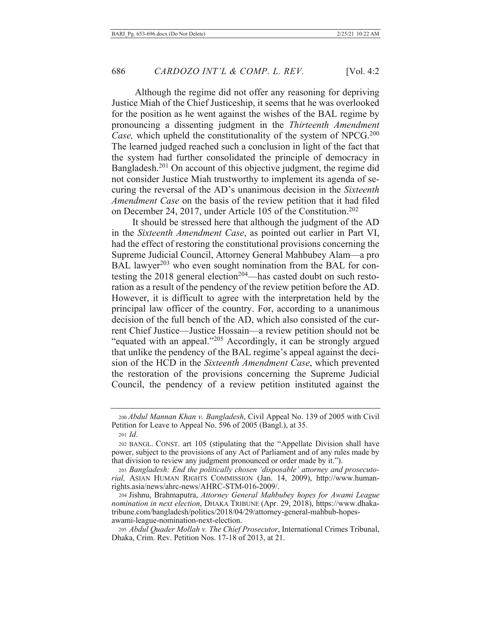Although the regime did not offer any reasoning for depriving Justice Miah of the Chief Justiceship, it seems that he was overlooked for the position as he went against the wishes of the BAL regime by pronouncing a dissenting judgment in the *Thirteenth Amendment* Case, which upheld the constitutionality of the system of NPCG.<sup>200</sup> The learned judged reached such a conclusion in light of the fact that the system had further consolidated the principle of democracy in Bangladesh.<sup>201</sup> On account of this objective judgment, the regime did not consider Justice Miah trustworthy to implement its agenda of securing the reversal of the AD's unanimous decision in the Sixteenth *Amendment Case* on the basis of the review petition that it had filed on December 24, 2017, under Article 105 of the Constitution.<sup>202</sup>

It should be stressed here that although the judgment of the AD in the Sixteenth Amendment Case, as pointed out earlier in Part VI, had the effect of restoring the constitutional provisions concerning the Supreme Judicial Council, Attorney General Mahbubey Alam—a pro BAL lawyer<sup>203</sup> who even sought nomination from the BAL for contesting the 2018 general election<sup>204</sup>—has casted doubt on such restoration as a result of the pendency of the review petition before the AD. However, it is difficult to agree with the interpretation held by the principal law officer of the country. For, according to a unanimous decision of the full bench of the AD, which also consisted of the current Chief Justice—Justice Hossain—a review petition should not be "equated with an appeal."<sup>205</sup> Accordingly, it can be strongly argued that unlike the pendency of the BAL regime's appeal against the decision of the HCD in the Sixteenth Amendment Case, which prevented the restoration of the provisions concerning the Supreme Judicial Council, the pendency of a review petition instituted against the

<sup>200</sup> Abdul Mannan Khan v. Bangladesh, Civil Appeal No. 139 of 2005 with Civil Petition for Leave to Appeal No. 596 of 2005 (Bangl.), at 35.

 $_{201}$  *Id.* 

<sup>202</sup> BANGL. CONST. art 105 (stipulating that the "Appellate Division shall have power, subject to the provisions of any Act of Parliament and of any rules made by that division to review any judgment pronounced or order made by it.").

<sup>203</sup> Bangladesh: End the politically chosen 'disposable' attorney and prosecutorial, Asian Human Rights Commission (Jan. 14, 2009), http://www.humanrights.asia/news/ahrc-news/AHRC-STM-016-2009/.

<sup>204</sup> Jishnu, Brahmaputra, Attorney General Mahbubey hopes for Awami League nomination in next election, DHAKA TRIBUNE (Apr. 29, 2018), https://www.dhakatribune.com/bangladesh/politics/2018/04/29/attorney-general-mahbub-hopesawami-league-nomination-next-election.

<sup>205</sup> Abdul Quader Mollah v. The Chief Prosecutor, International Crimes Tribunal, Dhaka, Crim. Rev. Petition Nos. 17-18 of 2013, at 21.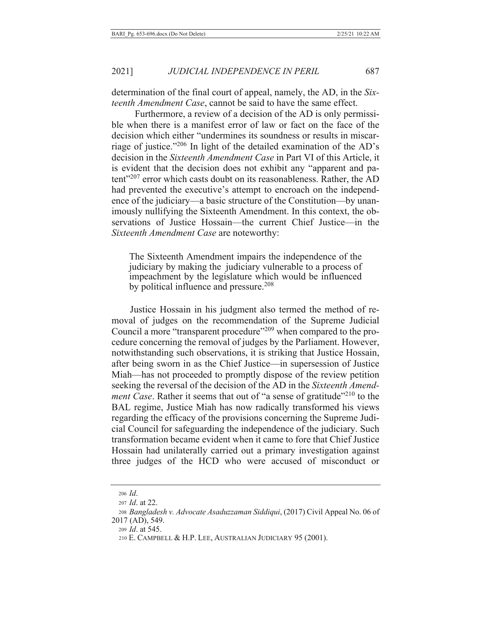determination of the final court of appeal, namely, the AD, in the Sixteenth Amendment Case, cannot be said to have the same effect.

Furthermore, a review of a decision of the AD is only permissible when there is a manifest error of law or fact on the face of the decision which either "undermines its soundness or results in miscarriage of justice."206 In light of the detailed examination of the AD's decision in the Sixteenth Amendment Case in Part VI of this Article, it is evident that the decision does not exhibit any "apparent and patent"<sup>207</sup> error which casts doubt on its reasonableness. Rather, the AD had prevented the executive's attempt to encroach on the independence of the judiciary—a basic structure of the Constitution—by unanimously nullifying the Sixteenth Amendment. In this context, the observations of Justice Hossain-the current Chief Justice-in the Sixteenth Amendment Case are noteworthy:

The Sixteenth Amendment impairs the independence of the judiciary by making the judiciary vulnerable to a process of impeachment by the legislature which would be influenced by political influence and pressure.<sup>208</sup>

Justice Hossain in his judgment also termed the method of removal of judges on the recommendation of the Supreme Judicial Council a more "transparent procedure"<sup>209</sup> when compared to the procedure concerning the removal of judges by the Parliament. However, notwithstanding such observations, it is striking that Justice Hossain, after being sworn in as the Chief Justice—in supersession of Justice Miah—has not proceeded to promptly dispose of the review petition seeking the reversal of the decision of the AD in the Sixteenth Amend*ment Case*. Rather it seems that out of "a sense of gratitude"<sup>210</sup> to the BAL regime, Justice Miah has now radically transformed his views regarding the efficacy of the provisions concerning the Supreme Judicial Council for safeguarding the independence of the judiciary. Such transformation became evident when it came to fore that Chief Justice Hossain had unilaterally carried out a primary investigation against three judges of the HCD who were accused of misconduct or

<sup>206</sup> Id.

<sup>207</sup> *Id.* at 22.

<sup>208</sup> Bangladesh v. Advocate Asaduzzaman Siddiqui, (2017) Civil Appeal No. 06 of 2017 (AD), 549.

<sup>209</sup> *Id.* at 545.

<sup>210</sup> E. CAMPBELL & H.P. LEE, AUSTRALIAN JUDICIARY 95 (2001).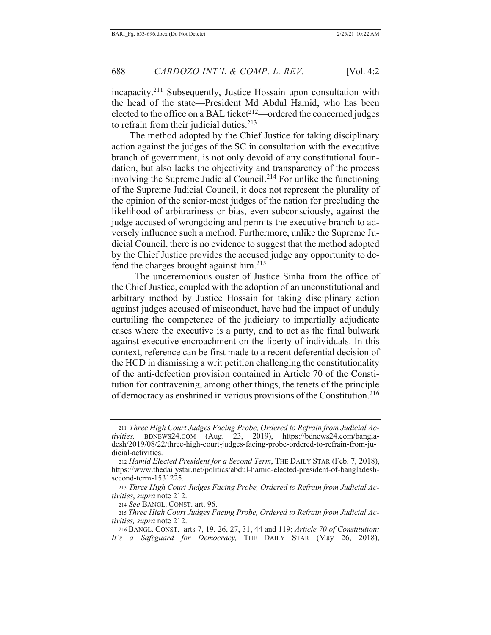incapacity.<sup>211</sup> Subsequently, Justice Hossain upon consultation with the head of the state-President Md Abdul Hamid, who has been elected to the office on a BAL ticket<sup>212</sup>—ordered the concerned judges to refrain from their judicial duties. $213$ 

The method adopted by the Chief Justice for taking disciplinary action against the judges of the SC in consultation with the executive branch of government, is not only devoid of any constitutional foundation, but also lacks the objectivity and transparency of the process involving the Supreme Judicial Council.<sup>214</sup> For unlike the functioning of the Supreme Judicial Council, it does not represent the plurality of the opinion of the senior-most judges of the nation for precluding the likelihood of arbitrariness or bias, even subconsciously, against the judge accused of wrongdoing and permits the executive branch to adversely influence such a method. Furthermore, unlike the Supreme Judicial Council, there is no evidence to suggest that the method adopted by the Chief Justice provides the accused judge any opportunity to defend the charges brought against him. $215$ 

The unceremonious ouster of Justice Sinha from the office of the Chief Justice, coupled with the adoption of an unconstitutional and arbitrary method by Justice Hossain for taking disciplinary action against judges accused of misconduct, have had the impact of unduly curtailing the competence of the judiciary to impartially adjudicate cases where the executive is a party, and to act as the final bulwark against executive encroachment on the liberty of individuals. In this context, reference can be first made to a recent deferential decision of the HCD in dismissing a writ petition challenging the constitutionality of the anti-defection provision contained in Article 70 of the Constitution for contravening, among other things, the tenets of the principle of democracy as enshrined in various provisions of the Constitution.<sup>216</sup>

<sup>211</sup> Three High Court Judges Facing Probe, Ordered to Refrain from Judicial Activities, BDNEWS24.COM (Aug. 23, 2019), https://bdnews24.com/bangladesh/2019/08/22/three-high-court-judges-facing-probe-ordered-to-refrain-from-judicial-activities.

<sup>212</sup> Hamid Elected President for a Second Term, THE DAILY STAR (Feb. 7, 2018), https://www.thedailystar.net/politics/abdul-hamid-elected-president-of-bangladeshsecond-term-1531225.

<sup>213</sup> Three High Court Judges Facing Probe, Ordered to Refrain from Judicial Ac*tivities, supra* note 212.

<sup>214</sup> See BANGL. CONST. art. 96.

<sup>215</sup> Three High Court Judges Facing Probe, Ordered to Refrain from Judicial Ac*tivities, supra* note 212.

<sup>216</sup> BANGL. CONST. arts 7, 19, 26, 27, 31, 44 and 119; Article 70 of Constitution: It's a Safeguard for Democracy, THE DAILY STAR (May 26, 2018),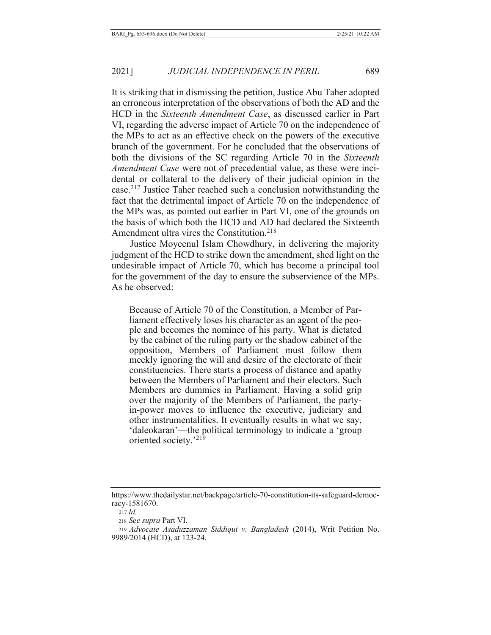It is striking that in dismissing the petition, Justice Abu Taher adopted an erroneous interpretation of the observations of both the AD and the HCD in the Sixteenth Amendment Case, as discussed earlier in Part VI, regarding the adverse impact of Article 70 on the independence of the MPs to act as an effective check on the powers of the executive branch of the government. For he concluded that the observations of both the divisions of the SC regarding Article 70 in the Sixteenth Amendment Case were not of precedential value, as these were incidental or collateral to the delivery of their judicial opinion in the case.<sup>217</sup> Justice Taher reached such a conclusion notwithstanding the fact that the detrimental impact of Article 70 on the independence of the MPs was, as pointed out earlier in Part VI, one of the grounds on the basis of which both the HCD and AD had declared the Sixteenth Amendment ultra vires the Constitution.<sup>218</sup>

Justice Moyeenul Islam Chowdhury, in delivering the majority judgment of the HCD to strike down the amendment, shed light on the undesirable impact of Article 70, which has become a principal tool for the government of the day to ensure the subservience of the MPs. As he observed:

Because of Article 70 of the Constitution, a Member of Parliament effectively loses his character as an agent of the people and becomes the nominee of his party. What is dictated by the cabinet of the ruling party or the shadow cabinet of the opposition, Members of Parliament must follow them meekly ignoring the will and desire of the electorate of their constituencies. There starts a process of distance and apathy between the Members of Parliament and their electors. Such Members are dummies in Parliament. Having a solid grip over the majority of the Members of Parliament, the partyin-power moves to influence the executive, judiciary and other instrumentalities. It eventually results in what we say, 'daleokaran'—the political terminology to indicate a 'group' oriented society.'219

https://www.thedailystar.net/backpage/article-70-constitution-its-safeguard-democracy-1581670.

 $217$  *Id.* 

<sup>218</sup> See supra Part VI.

<sup>219</sup> Advocate Asaduzzaman Siddiqui v. Bangladesh (2014), Writ Petition No. 9989/2014 (HCD), at 123-24.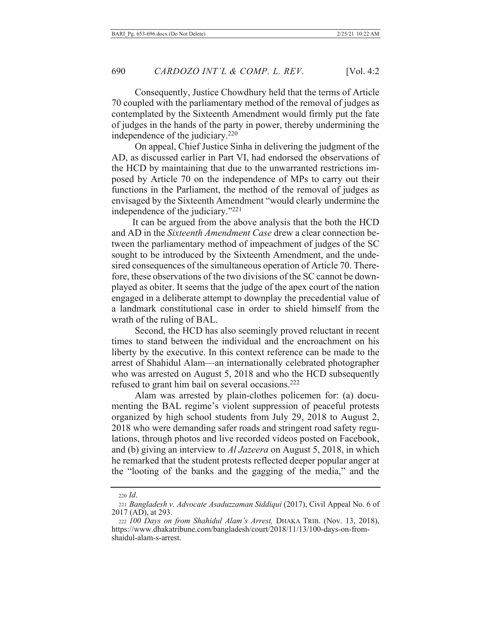Consequently, Justice Chowdhury held that the terms of Article 70 coupled with the parliamentary method of the removal of judges as contemplated by the Sixteenth Amendment would firmly put the fate of judges in the hands of the party in power, thereby undermining the independence of the judiciary.<sup>220</sup>

On appeal, Chief Justice Sinha in delivering the judgment of the AD, as discussed earlier in Part VI, had endorsed the observations of the HCD by maintaining that due to the unwarranted restrictions imposed by Article 70 on the independence of MPs to carry out their functions in the Parliament, the method of the removal of judges as envisaged by the Sixteenth Amendment "would clearly undermine the independence of the judiciary."<sup>221</sup>

It can be argued from the above analysis that the both the HCD and AD in the *Sixteenth Amendment Case* drew a clear connection between the parliamentary method of impeachment of judges of the SC sought to be introduced by the Sixteenth Amendment, and the undesired consequences of the simultaneous operation of Article 70. Therefore, these observations of the two divisions of the SC cannot be downplayed as obiter. It seems that the judge of the apex court of the nation engaged in a deliberate attempt to downplay the precedential value of a landmark constitutional case in order to shield himself from the wrath of the ruling of BAL.

Second, the HCD has also seemingly proved reluctant in recent times to stand between the individual and the encroachment on his liberty by the executive. In this context reference can be made to the arrest of Shahidul Alam-an internationally celebrated photographer who was arrested on August 5, 2018 and who the HCD subsequently refused to grant him bail on several occasions. $222$ 

Alam was arrested by plain-clothes policemen for: (a) documenting the BAL regime's violent suppression of peaceful protests organized by high school students from July 29, 2018 to August 2, 2018 who were demanding safer roads and stringent road safety regulations, through photos and live recorded videos posted on Facebook, and (b) giving an interview to *Al Jazeera* on August 5, 2018, in which he remarked that the student protests reflected deeper popular anger at the "looting of the banks and the gagging of the media," and the

<sup>220</sup> *Id*.

<sup>221</sup> Bangladesh v. Advocate Asaduzzaman Siddiqui (2017), Civil Appeal No. 6 of 2017 (AD), at 293.

<sup>222 100</sup> Days on from Shahidul Alam's Arrest, DHAKA TRIB. (Nov. 13, 2018), https://www.dhakatribune.com/bangladesh/court/2018/11/13/100-days-on-fromshaidul-alam-s-arrest.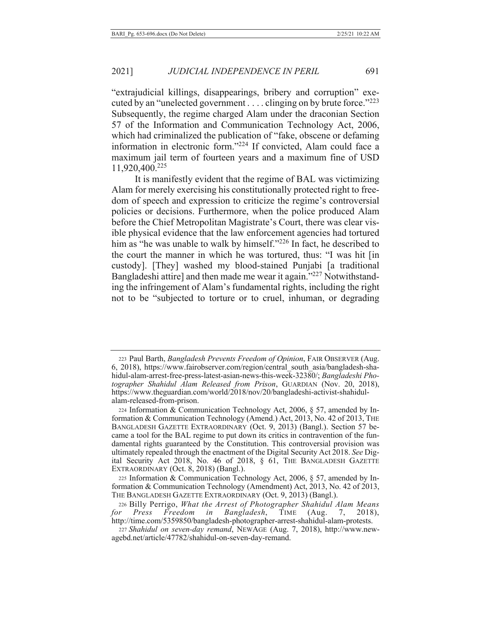"extrajudicial killings, disappearings, bribery and corruption" executed by an "unelected government . . . . clinging on by brute force." $^{223}$ Subsequently, the regime charged Alam under the draconian Section 57 of the Information and Communication Technology Act, 2006, which had criminalized the publication of "fake, obscene or defaming information in electronic form."<sup>224</sup> If convicted, Alam could face a maximum jail term of fourteen years and a maximum fine of USD 11,920,400.225

It is manifestly evident that the regime of BAL was victimizing Alam for merely exercising his constitutionally protected right to freedom of speech and expression to criticize the regime's controversial policies or decisions. Furthermore, when the police produced Alam before the Chief Metropolitan Magistrate's Court, there was clear visible physical evidence that the law enforcement agencies had tortured him as "he was unable to walk by himself." $^{226}$  In fact, he described to the court the manner in which he was tortured, thus: "I was hit [in custody]. [They] washed my blood-stained Punjabi [a traditional Bangladeshi attire] and then made me wear it again."<sup>227</sup> Notwithstanding the infringement of Alam's fundamental rights, including the right not to be "subjected to torture or to cruel, inhuman, or degrading

<sup>223</sup> Paul Barth, Bangladesh Prevents Freedom of Opinion, FAIR OBSERVER (Aug. 6, 2018), https://www.fairobserver.com/region/central\_south\_asia/bangladesh-shahidul-alam-arrest-free-press-latest-asian-news-this-week-32380/; *Bangladeshi Pho*tographer Shahidul Alam Released from Prison, GUARDIAN (Nov. 20, 2018), https://www.theguardian.com/world/2018/nov/20/bangladeshi-activist-shahidulalam-released-from-prison.

<sup>224</sup> Information & Communication Technology Act, 2006, § 57, amended by Information & Communication Technology (Amend.) Act, 2013, No. 42 of 2013, THE BANGLADESH GAZETTE EXTRAORDINARY (Oct. 9, 2013) (Bangl.). Section 57 became a tool for the BAL regime to put down its critics in contravention of the fundamental rights guaranteed by the Constitution. This controversial provision was ultimately repealed through the enactment of the Digital Security Act 2018. See Digital Security Act 2018, No. 46 of 2018,  $\S$  61, THE BANGLADESH GAZETTE  $EXTRAORDINARY$  (Oct. 8, 2018) (Bangl.).

<sup>225</sup> Information & Communication Technology Act, 2006, § 57, amended by Information & Communication Technology (Amendment) Act, 2013, No. 42 of 2013, THE BANGLADESH GAZETTE EXTRAORDINARY (Oct. 9, 2013) (Bangl.).

<sup>226</sup> Billy Perrigo, What the Arrest of Photographer Shahidul Alam Means *for Press Freedom in Bangladesh*, TIME (Aug. 7,  $2018$ , http://time.com/5359850/bangladesh-photographer-arrest-shahidul-alam-protests.

<sup>227</sup> Shahidul on seven-day remand, NEWAGE (Aug. 7, 2018), http://www.newagebd.net/article/47782/shahidul-on-seven-day-remand.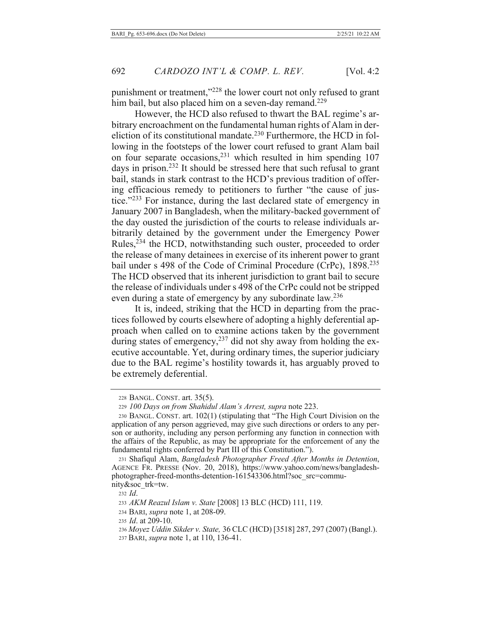punishment or treatment,"228 the lower court not only refused to grant him bail, but also placed him on a seven-day remand.<sup>229</sup>

However, the HCD also refused to thwart the BAL regime's arbitrary encroachment on the fundamental human rights of Alam in dereliction of its constitutional mandate.<sup>230</sup> Furthermore, the HCD in following in the footsteps of the lower court refused to grant Alam bail on four separate occasions,<sup>231</sup> which resulted in him spending 107 days in prison.<sup>232</sup> It should be stressed here that such refusal to grant bail, stands in stark contrast to the HCD's previous tradition of offering efficacious remedy to petitioners to further "the cause of justice."<sup>233</sup> For instance, during the last declared state of emergency in January 2007 in Bangladesh, when the military-backed government of the day ousted the jurisdiction of the courts to release individuals arbitrarily detained by the government under the Emergency Power Rules,<sup>234</sup> the HCD, notwithstanding such ouster, proceeded to order the release of many detainees in exercise of its inherent power to grant bail under s 498 of the Code of Criminal Procedure (CrPc), 1898.<sup>235</sup> The HCD observed that its inherent jurisdiction to grant bail to secure the release of individuals under s 498 of the CrPc could not be stripped even during a state of emergency by any subordinate law.<sup>236</sup>

It is, indeed, striking that the HCD in departing from the practices followed by courts elsewhere of adopting a highly deferential approach when called on to examine actions taken by the government during states of emergency,<sup>237</sup> did not shy away from holding the executive accountable. Yet, during ordinary times, the superior judiciary due to the BAL regime's hostility towards it, has arguably proved to be extremely deferential.

<sup>228</sup> BANGL. CONST. art. 35(5).

<sup>229 100</sup> Days on from Shahidul Alam's Arrest, supra note 223.

<sup>230</sup> BANGL. CONST. art. 102(1) (stipulating that "The High Court Division on the application of any person aggrieved, may give such directions or orders to any person or authority, including any person performing any function in connection with the affairs of the Republic, as may be appropriate for the enforcement of any the fundamental rights conferred by Part III of this Constitution.").

<sup>231</sup> Shafiqul Alam, Bangladesh Photographer Freed After Months in Detention, AGENCE FR. PRESSE (Nov. 20, 2018), https://www.yahoo.com/news/bangladeshphotographer-freed-months-detention-161543306.html?soc src=community&soc\_trk=tw.

 $232$  *Id.* 

<sup>233</sup> AKM Reazul Islam v. State [2008] 13 BLC (HCD) 111, 119.

<sup>234</sup> BARI, *supra* note 1, at 208-09.

<sup>235</sup> *Id.* at 209-10.

<sup>236</sup> Moyez Uddin Sikder v. State, 36 CLC (HCD) [3518] 287, 297 (2007) (Bangl.). 237 BARI, *supra* note 1, at 110, 136-41.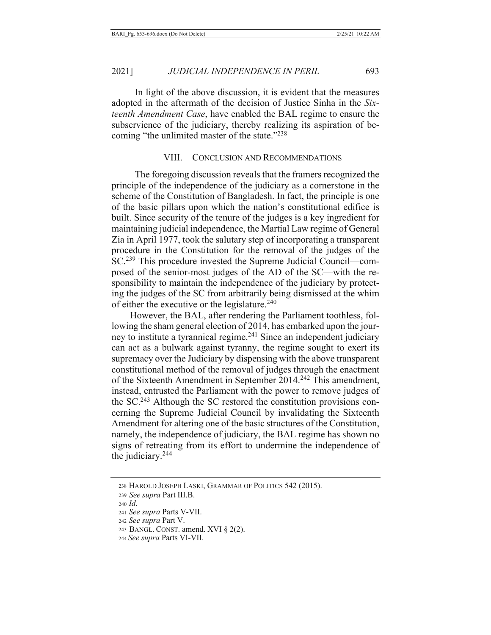2021]

In light of the above discussion, it is evident that the measures adopted in the aftermath of the decision of Justice Sinha in the Sixteenth Amendment Case, have enabled the BAL regime to ensure the subservience of the judiciary, thereby realizing its aspiration of becoming "the unlimited master of the state."238

#### VIII. **CONCLUSION AND RECOMMENDATIONS**

The foregoing discussion reveals that the framers recognized the principle of the independence of the judiciary as a cornerstone in the scheme of the Constitution of Bangladesh. In fact, the principle is one of the basic pillars upon which the nation's constitutional edifice is built. Since security of the tenure of the judges is a key ingredient for maintaining judicial independence, the Martial Law regime of General Zia in April 1977, took the salutary step of incorporating a transparent procedure in the Constitution for the removal of the judges of the SC.<sup>239</sup> This procedure invested the Supreme Judicial Council—composed of the senior-most judges of the AD of the SC—with the responsibility to maintain the independence of the judiciary by protecting the judges of the SC from arbitrarily being dismissed at the whim of either the executive or the legislature.<sup>240</sup>

However, the BAL, after rendering the Parliament toothless, following the sham general election of 2014, has embarked upon the journey to institute a tyrannical regime.<sup>241</sup> Since an independent judiciary can act as a bulwark against tyranny, the regime sought to exert its supremacy over the Judiciary by dispensing with the above transparent constitutional method of the removal of judges through the enactment of the Sixteenth Amendment in September 2014.<sup>242</sup> This amendment, instead, entrusted the Parliament with the power to remove judges of the SC.<sup>243</sup> Although the SC restored the constitution provisions concerning the Supreme Judicial Council by invalidating the Sixteenth Amendment for altering one of the basic structures of the Constitution, namely, the independence of judiciary, the BAL regime has shown no signs of retreating from its effort to undermine the independence of the judiciary. $244$ 

<sup>238</sup> HAROLD JOSEPH LASKI, GRAMMAR OF POLITICS 542 (2015).

<sup>239</sup> See supra Part III.B.

 $240$  *Id.* 

<sup>241</sup> See supra Parts V-VII.

<sup>242</sup> See supra Part V.

<sup>243</sup> BANGL. CONST. amend. XVI § 2(2).

<sup>244</sup> See supra Parts VI-VII.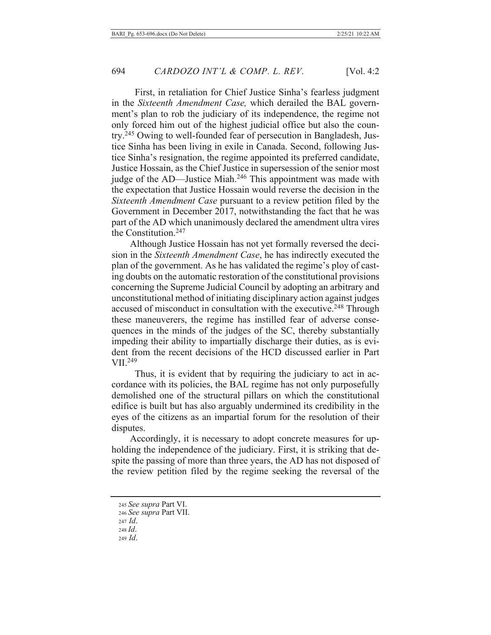First, in retaliation for Chief Justice Sinha's fearless judgment in the Sixteenth Amendment Case, which derailed the BAL government's plan to rob the judiciary of its independence, the regime not only forced him out of the highest judicial office but also the country.<sup>245</sup> Owing to well-founded fear of persecution in Bangladesh, Justice Sinha has been living in exile in Canada. Second, following Justice Sinha's resignation, the regime appointed its preferred candidate, Justice Hossain, as the Chief Justice in supersession of the senior most judge of the AD—Justice Miah.<sup>246</sup> This appointment was made with the expectation that Justice Hossain would reverse the decision in the Sixteenth Amendment Case pursuant to a review petition filed by the Government in December 2017, notwithstanding the fact that he was part of the AD which unanimously declared the amendment ultra vires the Constitution. $247$ 

Although Justice Hossain has not yet formally reversed the decision in the Sixteenth Amendment Case, he has indirectly executed the plan of the government. As he has validated the regime's ploy of casting doubts on the automatic restoration of the constitutional provisions concerning the Supreme Judicial Council by adopting an arbitrary and unconstitutional method of initiating disciplinary action against judges accused of misconduct in consultation with the executive.<sup>248</sup> Through these maneuverers, the regime has instilled fear of adverse consequences in the minds of the judges of the SC, thereby substantially impeding their ability to impartially discharge their duties, as is evident from the recent decisions of the HCD discussed earlier in Part  $VII.<sup>249</sup>$ 

Thus, it is evident that by requiring the judiciary to act in accordance with its policies, the BAL regime has not only purposefully demolished one of the structural pillars on which the constitutional edifice is built but has also arguably undermined its credibility in the eyes of the citizens as an impartial forum for the resolution of their disputes.

Accordingly, it is necessary to adopt concrete measures for upholding the independence of the judiciary. First, it is striking that despite the passing of more than three years, the AD has not disposed of the review petition filed by the regime seeking the reversal of the

<sup>245</sup> See supra Part VI.

<sup>246</sup> See supra Part VII.

 $247$  *Id.* 

 $248$  *Id.* 

<sup>249</sup> Id.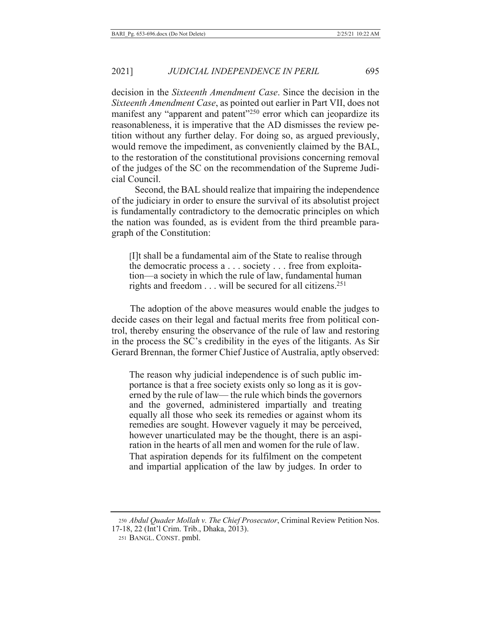2021] *JUDICIAL INDEPENDENCE IN PERIL* 

decision in the *Sixteenth Amendment Case*. Since the decision in the *Sixteenth Amendment Case, as pointed out earlier in Part VII, does not* manifest any "apparent and patent"<sup>250</sup> error which can jeopardize its reasonableness, it is imperative that the AD dismisses the review petition without any further delay. For doing so, as argued previously, would remove the impediment, as conveniently claimed by the BAL, to the restoration of the constitutional provisions concerning removal of the judges of the SC on the recommendation of the Supreme Judicial Council.

695

Second, the BAL should realize that impairing the independence of the judiciary in order to ensure the survival of its absolutist project is fundamentally contradictory to the democratic principles on which the nation was founded, as is evident from the third preamble paragraph of the Constitution:

[I]t shall be a fundamental aim of the State to realise through the democratic process a . . . society . . . free from exploitation—a society in which the rule of law, fundamental human rights and freedom  $\dots$  will be secured for all citizens.<sup>251</sup>

The adoption of the above measures would enable the judges to decide cases on their legal and factual merits free from political control, thereby ensuring the observance of the rule of law and restoring in the process the SC's credibility in the eyes of the litigants. As Sir Gerard Brennan, the former Chief Justice of Australia, aptly observed:

The reason why judicial independence is of such public importance is that a free society exists only so long as it is governed by the rule of law— the rule which binds the governors and the governed, administered impartially and treating equally all those who seek its remedies or against whom its remedies are sought. However vaguely it may be perceived, however unarticulated may be the thought, there is an aspiration in the hearts of all men and women for the rule of law. That aspiration depends for its fulfilment on the competent and impartial application of the law by judges. In order to

250 Abdul Quader Mollah v. The Chief Prosecutor, Criminal Review Petition Nos. 17-18, 22 (Int'l Crim. Trib., Dhaka, 2013).

<sup>251</sup> BANGL. CONST. pmbl.